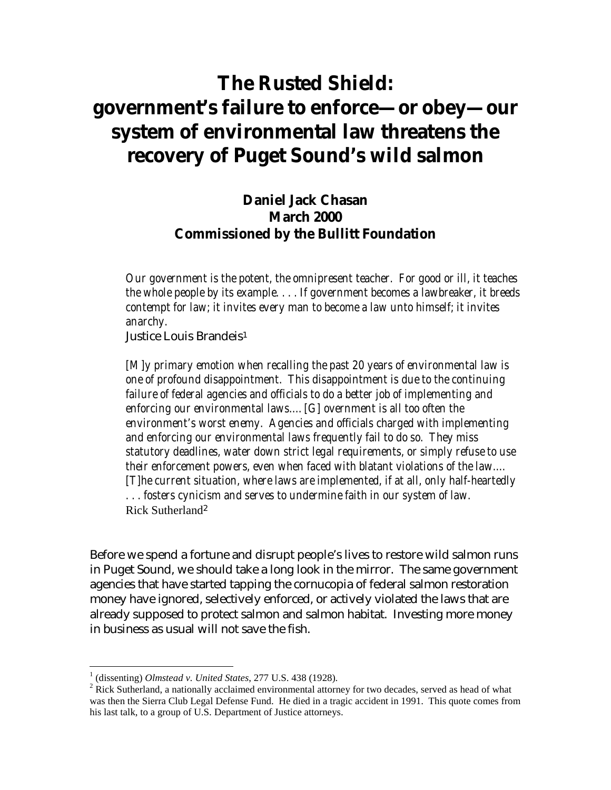# **The Rusted Shield: government's failure to enforce—or obey—our system of environmental law threatens the recovery of Puget Sound's wild salmon**

### **Daniel Jack Chasan March 2000 Commissioned by the Bullitt Foundation**

*Our government is the potent, the omnipresent teacher. For good or ill, it teaches the whole people by its example. . . . If government becomes a lawbreaker, it breeds contempt for law; it invites every man to become a law unto himself; it invites anarchy.* 

Justice Louis Brandei[s1](#page-0-0)

*[M]y primary emotion when recalling the past 20 years of environmental law is one of profound disappointment. This disappointment is due to the continuing failure of federal agencies and officials to do a better job of implementing and enforcing our environmental laws.…[G] overnment is all too often the environment's worst enemy. Agencies and officials charged with implementing and enforcing our environmental laws frequently fail to do so. They miss statutory deadlines, water down strict legal requirements, or simply refuse to use their enforcement powers, even when faced with blatant violations of the law.… [T]he current situation, where laws are implemented, if at all, only half-heartedly . . . fosters cynicism and serves to undermine faith in our system of law.*  Rick Sutherland[2](#page-0-1)

Before we spend a fortune and disrupt people's lives to restore wild salmon runs in Puget Sound, we should take a long look in the mirror. The same government agencies that have started tapping the cornucopia of federal salmon restoration money have ignored, selectively enforced, or actively violated the laws that are already supposed to protect salmon and salmon habitat. Investing more money in business as usual will not save the fish.

<span id="page-0-0"></span><sup>&</sup>lt;sup>1</sup> (dissenting) *Olmstead v. United States*, 277 U.S. 438 (1928).

<span id="page-0-1"></span><sup>&</sup>lt;sup>2</sup> Rick Sutherland, a nationally acclaimed environmental attorney for two decades, served as head of what was then the Sierra Club Legal Defense Fund. He died in a tragic accident in 1991. This quote comes from his last talk, to a group of U.S. Department of Justice attorneys.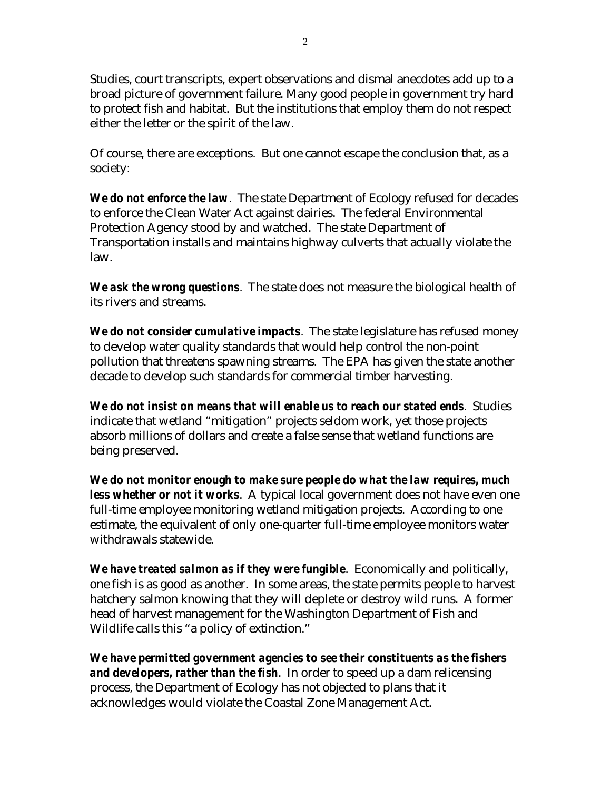Studies, court transcripts, expert observations and dismal anecdotes add up to a broad picture of government failure. Many good people in government try hard to protect fish and habitat. But the institutions that employ them do not respect either the letter or the spirit of the law.

Of course, there are exceptions. But one cannot escape the conclusion that, as a society:

*We do not enforce the law*. The state Department of Ecology refused for decades to enforce the Clean Water Act against dairies. The federal Environmental Protection Agency stood by and watched. The state Department of Transportation installs and maintains highway culverts that actually violate the law.

*We ask the wrong questions*. The state does not measure the biological health of its rivers and streams.

*We do not consider cumulative impacts*. The state legislature has refused money to develop water quality standards that would help control the non-point pollution that threatens spawning streams. The EPA has given the state another decade to develop such standards for commercial timber harvesting.

*We do not insist on means that will enable us to reach our stated ends*. Studies indicate that wetland "mitigation" projects seldom work, yet those projects absorb millions of dollars and create a false sense that wetland functions are being preserved.

*We do not monitor enough to make sure people do what the law requires, much less whether or not it works*. A typical local government does not have even one full-time employee monitoring wetland mitigation projects. According to one estimate, the equivalent of only one-quarter full-time employee monitors water withdrawals statewide.

*We have treated salmon as if they were fungible*. Economically and politically, one fish is as good as another. In some areas, the state permits people to harvest hatchery salmon knowing that they will deplete or destroy wild runs. A former head of harvest management for the Washington Department of Fish and Wildlife calls this "a policy of extinction."

*We have permitted government agencies to see their constituents as the fishers and developers, rather than the fish*. In order to speed up a dam relicensing process, the Department of Ecology has not objected to plans that it acknowledges would violate the Coastal Zone Management Act.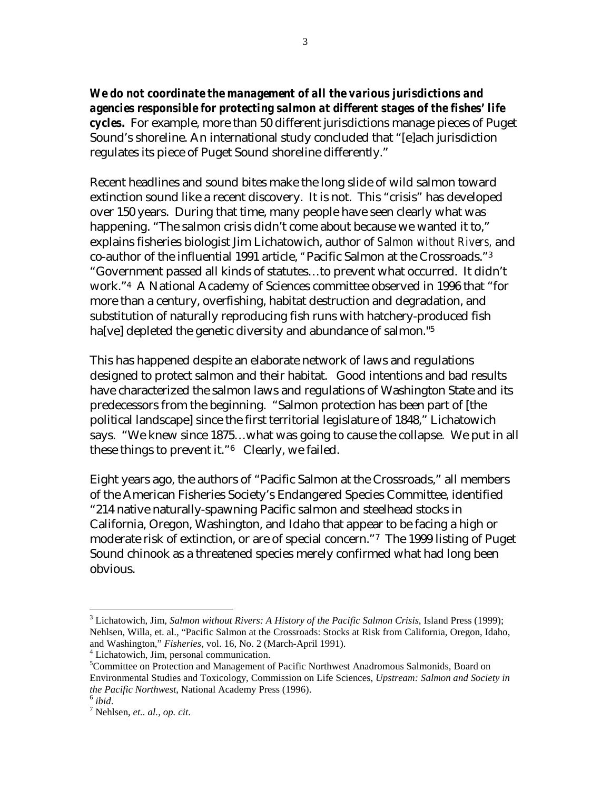*We do not coordinate the management of all the various jurisdictions and agencies responsible for protecting salmon at different stages of the fishes' life cycles***.** For example, more than 50 different jurisdictions manage pieces of Puget Sound's shoreline. An international study concluded that "[e]ach jurisdiction regulates its piece of Puget Sound shoreline differently."

Recent headlines and sound bites make the long slide of wild salmon toward extinction sound like a recent discovery. It is not. This "crisis" has developed over 150 years. During that time, many people have seen clearly what was happening. "The salmon crisis didn't come about because we wanted it to," explains fisheries biologist Jim Lichatowich, author of *Salmon without Rivers,* and co-author of the influential 1991 article, *"*Pacific Salmon at the Crossroads.["3](#page-2-0)  "Government passed all kinds of statutes…to prevent what occurred. It didn't work.["4](#page-2-1) A National Academy of Sciences committee observed in 1996 that "for more than a century, overfishing, habitat destruction and degradation, and substitution of naturally reproducing fish runs with hatchery-produced fish ha<sup>[ve]</sup> depleted the genetic diversity and abundance of salmon."<sup>5</sup>

This has happened despite an elaborate network of laws and regulations designed to protect salmon and their habitat. Good intentions and bad results have characterized the salmon laws and regulations of Washington State and its predecessors from the beginning. "Salmon protection has been part of [the political landscape] since the first territorial legislature of 1848," Lichatowich says. "We knew since 1875…what was going to cause the collapse. We put in all these things to prevent it."[6](#page-2-3) Clearly, we failed.

Eight years ago, the authors of "Pacific Salmon at the Crossroads," all members of the American Fisheries Society's Endangered Species Committee, identified "214 native naturally-spawning Pacific salmon and steelhead stocks in California, Oregon, Washington, and Idaho that appear to be facing a high or moderate risk of extinction, or are of special concern."[7](#page-2-4) The 1999 listing of Puget Sound chinook as a threatened species merely confirmed what had long been obvious.

<span id="page-2-0"></span><sup>&</sup>lt;sup>3</sup> Lichatowich, Jim, *Salmon without Rivers: A History of the Pacific Salmon Crisis*, Island Press (1999); Nehlsen, Willa, et. al., "Pacific Salmon at the Crossroads: Stocks at Risk from California, Oregon, Idaho, and Washington," *Fisheries*, vol. 16, No. 2 (March-April 1991). 4

<span id="page-2-1"></span><sup>&</sup>lt;sup>4</sup> Lichatowich, Jim, personal communication.

<span id="page-2-2"></span><sup>&</sup>lt;sup>5</sup>Committee on Protection and Management of Pacific Northwest Anadromous Salmonids, Board on Environmental Studies and Toxicology, Commission on Life Sciences, *Upstream: Salmon and Society in the Pacific Northwest*, National Academy Press (1996). <sup>6</sup> *ibid.* 

<span id="page-2-3"></span>

<span id="page-2-4"></span>Nehlsen, *et.. al., op. cit*.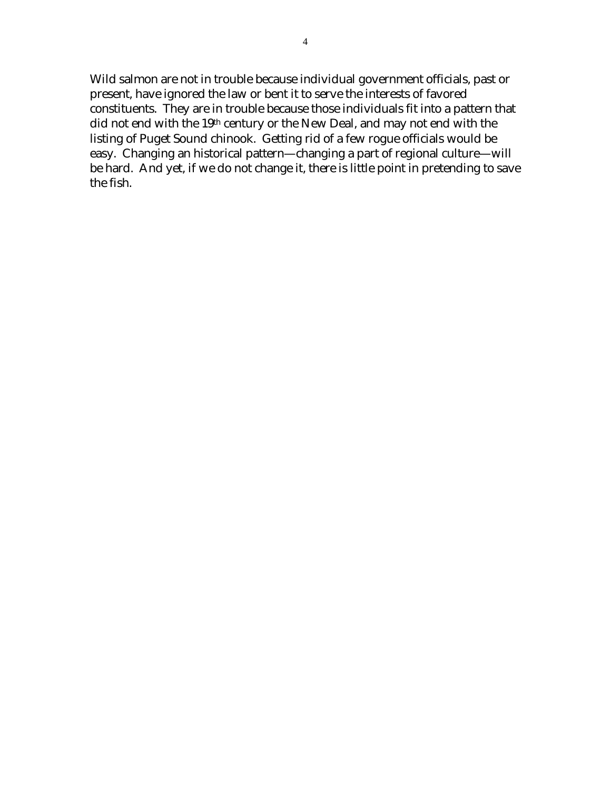Wild salmon are not in trouble because individual government officials, past or present, have ignored the law or bent it to serve the interests of favored constituents. They are in trouble because those individuals fit into a pattern that did not end with the 19<sup>th</sup> century or the New Deal, and may not end with the listing of Puget Sound chinook. Getting rid of a few rogue officials would be easy. Changing an historical pattern—changing a part of regional culture—will be hard. And yet, if we do not change it, there is little point in pretending to save the fish.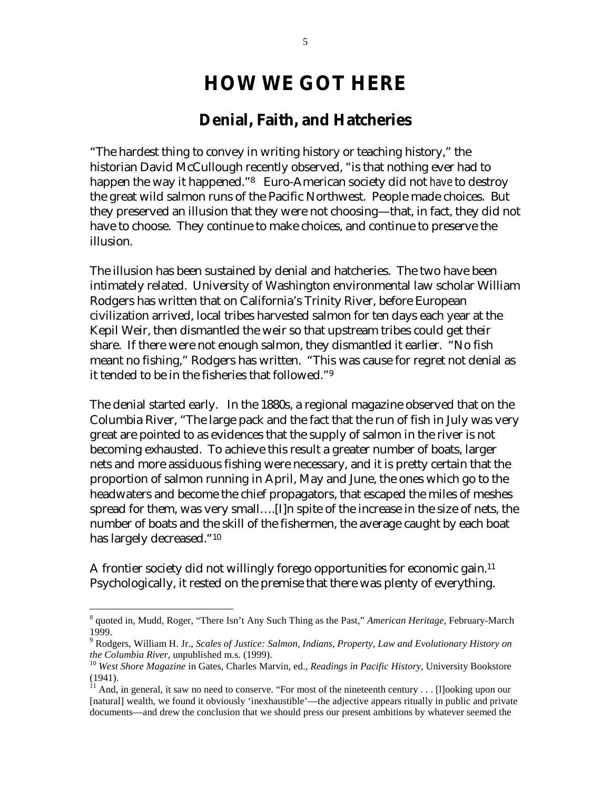## **HOW WE GOT HERE**

### **Denial, Faith, and Hatcheries**

<span id="page-4-3"></span>"The hardest thing to convey in writing history or teaching history," the historian David McCullough recently observed, "is that nothing ever had to happen the way it happened.["8](#page-4-0) Euro-American society did not *have* to destroy the great wild salmon runs of the Pacific Northwest. People made choices. But they preserved an illusion that they were not choosing—that, in fact, they did not have to choose. They continue to make choices, and continue to preserve the illusion.

The illusion has been sustained by denial and hatcheries. The two have been intimately related. University of Washington environmental law scholar William Rodgers has written that on California's Trinity River, before European civilization arrived, local tribes harvested salmon for ten days each year at the Kepil Weir, then dismantled the weir so that upstream tribes could get their share. If there were not enough salmon, they dismantled it earlier. "No fish meant no fishing," Rodgers has written. "This was cause for regret not denial as it tended to be in the fisheries that followed."[9](#page-4-1)

The denial started early. In the 1880s, a regional magazine observed that on the Columbia River, "The large pack and the fact that the run of fish in July was very great are pointed to as evidences that the supply of salmon in the river is not becoming exhausted. To achieve this result a greater number of boats, larger nets and more assiduous fishing were necessary, and it is pretty certain that the proportion of salmon running in April, May and June, the ones which go to the headwaters and become the chief propagators, that escaped the miles of meshes spread for them, was very small….[I]n spite of the increase in the size of nets, the number of boats and the skill of the fishermen, the average caught by each boat has largely decreased."[10](#page-4-2)

A frontier society did not willingly forego opportunities for economic gain.<sup>11</sup> Psychologically, it rested on the premise that there was plenty of everything.

1

<span id="page-4-0"></span><sup>8</sup> quoted in, Mudd, Roger, "There Isn't Any Such Thing as the Past," *American Heritage*, February-March 1999.

<span id="page-4-1"></span><sup>9</sup> Rodgers, William H. Jr., *Scales of Justice: Salmon, Indians, Property, Law and Evolutionary History on the Columbia River*, unpublished m.s. (1999).<br><sup>10</sup> *West Shore Magazine* in Gates, Charles Marvin, ed., *Readings in Pacific History*, University Bookstore

<span id="page-4-2"></span><sup>(1941).</sup> 

 $11$  And, in general, it saw no need to conserve. "For most of the nineteenth century . . . [1] ooking upon our [natural] wealth, we found it obviously 'inexhaustible'—the adjective appears ritually in public and private documents—and drew the conclusion that we should press our present ambitions by whatever seemed the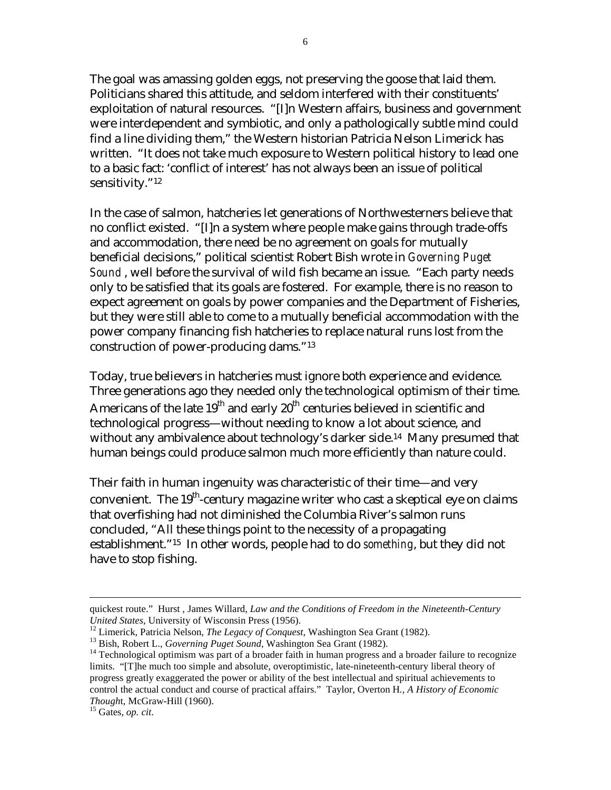The goal was amassing golden eggs, not preserving the goose that laid them. Politicians shared this attitude, and seldom interfered with their constituents' exploitation of natural resources. "[I]n Western affairs, business and government were interdependent and symbiotic, and only a pathologically subtle mind could find a line dividing them," the Western historian Patricia Nelson Limerick has written. "It does not take much exposure to Western political history to lead one to a basic fact: 'conflict of interest' has not always been an issue of political sensitivity."<sup>[12](#page-5-0)</sup>

In the case of salmon, hatcheries let generations of Northwesterners believe that no conflict existed. "[I]n a system where people make gains through trade-offs and accommodation, there need be no agreement on goals for mutually beneficial decisions," political scientist Robert Bish wrote in *Governing Puget Sound* , well before the survival of wild fish became an issue. "Each party needs only to be satisfied that its goals are fostered. For example, there is no reason to expect agreement on goals by power companies and the Department of Fisheries, but they were still able to come to a mutually beneficial accommodation with the power company financing fish hatcheries to replace natural runs lost from the construction of power-producing dams."[13](#page-5-1) 

Today, true believers in hatcheries must ignore both experience and evidence. Three generations ago they needed only the technological optimism of their time. Americans of the late  $19^{th}$  and early  $20^{th}$  centuries believed in scientific and technological progress—without needing to know a lot about science, and without any ambivalence about technology's darker side.<sup>14</sup> Many presumed that human beings could produce salmon much more efficiently than nature could.

Their faith in human ingenuity was characteristic of their time—and very convenient. The  $19<sup>th</sup>$ -century magazine writer who cast a skeptical eye on claims that overfishing had not diminished the Columbia River's salmon runs concluded, "All these things point to the necessity of a propagating establishment."[15](#page-5-3) In other words, people had to do *something*, but they did not have to stop fishing.

quickest route." Hurst , James Willard, *Law and the Conditions of Freedom in the Nineteenth-Century* 

<span id="page-5-0"></span>

<span id="page-5-2"></span><span id="page-5-1"></span>

United States, University of Wisconsin Press (1956).<br><sup>12</sup> Limerick, Patricia Nelson, *The Legacy of Conquest*, Washington Sea Grant (1982).<br><sup>13</sup> Bish, Robert L., *Governing Puget Sound*, Washington Sea Grant (1982).<br><sup>14</sup> T limits. "[T]he much too simple and absolute, overoptimistic, late-nineteenth-century liberal theory of progress greatly exaggerated the power or ability of the best intellectual and spiritual achievements to control the actual conduct and course of practical affairs." Taylor, Overton H*., A History of Economic Though*t, McGraw-Hill (1960). 15 Gates, *op. cit*.

<span id="page-5-3"></span>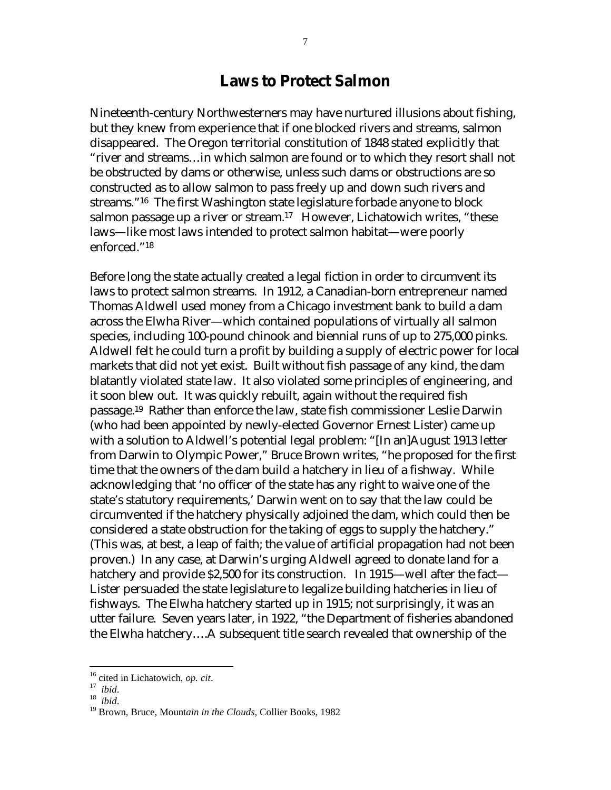#### **Laws to Protect Salmon**

Nineteenth-century Northwesterners may have nurtured illusions about fishing, but they knew from experience that if one blocked rivers and streams, salmon disappeared. The Oregon territorial constitution of 1848 stated explicitly that "river and streams…in which salmon are found or to which they resort shall not be obstructed by dams or otherwise, unless such dams or obstructions are so constructed as to allow salmon to pass freely up and down such rivers and streams.["16](#page-6-0) The first Washington state legislature forbade anyone to block salmon passage up a river or stream.<sup>17</sup> However, Lichatowich writes, "these laws—like most laws intended to protect salmon habitat—were poorly enforced."[18](#page-6-2) 

Before long the state actually created a legal fiction in order to circumvent its laws to protect salmon streams. In 1912, a Canadian-born entrepreneur named Thomas Aldwell used money from a Chicago investment bank to build a dam across the Elwha River—which contained populations of virtually all salmon species, including 100-pound chinook and biennial runs of up to 275,000 pinks. Aldwell felt he could turn a profit by building a supply of electric power for local markets that did not yet exist. Built without fish passage of any kind, the dam blatantly violated state law. It also violated some principles of engineering, and it soon blew out. It was quickly rebuilt, again without the required fish passage.[19](#page-6-3) Rather than enforce the law, state fish commissioner Leslie Darwin (who had been appointed by newly-elected Governor Ernest Lister) came up with a solution to Aldwell's potential legal problem: "[In an]August 1913 letter from Darwin to Olympic Power," Bruce Brown writes, "he proposed for the first time that the owners of the dam build a hatchery in lieu of a fishway. While acknowledging that 'no officer of the state has any right to waive one of the state's statutory requirements,' Darwin went on to say that the law could be circumvented if the hatchery physically adjoined the dam, which could then be considered a state obstruction for the taking of eggs to supply the hatchery." (This was, at best, a leap of faith; the value of artificial propagation had not been proven.) In any case, at Darwin's urging Aldwell agreed to donate land for a hatchery and provide \$2,500 for its construction. In 1915—well after the fact— Lister persuaded the state legislature to legalize building hatcheries in lieu of fishways. The Elwha hatchery started up in 1915; not surprisingly, it was an utter failure. Seven years later, in 1922, "the Department of fisheries abandoned the Elwha hatchery….A subsequent title search revealed that ownership of the

<span id="page-6-1"></span>

<span id="page-6-3"></span><span id="page-6-2"></span>

<span id="page-6-0"></span><sup>&</sup>lt;sup>16</sup> cited in Lichatowich, *op. cit*.<br><sup>17</sup> *ibid.* 18 *ibid.* 19 Brown, Bruce, Mountain in the Clouds, Collier Books, 1982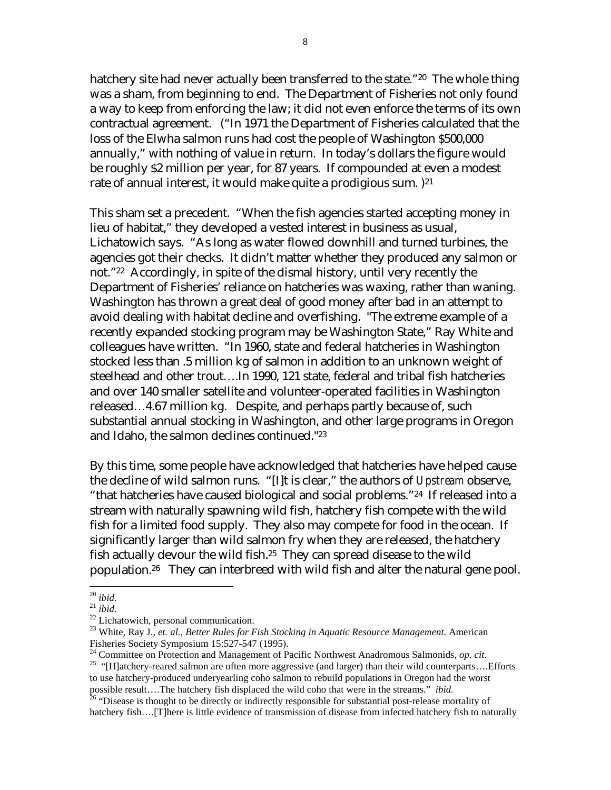<span id="page-7-6"></span>hatchery site had never actually been transferred to the state."<sup>20</sup> The whole thing was a sham, from beginning to end. The Department of Fisheries not only found a way to keep from enforcing the law; it did not even enforce the terms of its own contractual agreement. ("In 1971 the Department of Fisheries calculated that the loss of the Elwha salmon runs had cost the people of Washington \$500,000 annually," with nothing of value in return. In today's dollars the figure would be roughly \$2 million per year, for 87 years. If compounded at even a modest rate of annual interest, it would make quite a prodigious sum.  $)^{21}$  $)^{21}$  $)^{21}$ 

This sham set a precedent. "When the fish agencies started accepting money in lieu of habitat," they developed a vested interest in business as usual, Lichatowich says. "As long as water flowed downhill and turned turbines, the agencies got their checks. It didn't matter whether they produced any salmon or not.["22](#page-7-2) Accordingly, in spite of the dismal history, until very recently the Department of Fisheries' reliance on hatcheries was waxing, rather than waning. Washington has thrown a great deal of good money after bad in an attempt to avoid dealing with habitat decline and overfishing. "The extreme example of a recently expanded stocking program may be Washington State," Ray White and colleagues have written. "In 1960, state and federal hatcheries in Washington stocked less than .5 million kg of salmon in addition to an unknown weight of steelhead and other trout….In 1990, 121 state, federal and tribal fish hatcheries and over 140 smaller satellite and volunteer-operated facilities in Washington released…4.67 million kg. Despite, and perhaps partly because of, such substantial annual stocking in Washington, and other large programs in Oregon and Idaho, the salmon declines continued."[23](#page-7-3) 

By this time, some people have acknowledged that hatcheries have helped cause the decline of wild salmon runs. "[I]t is clear," the authors of *Upstream* observe, "that hatcheries have caused biological and social problems."[24](#page-7-4) If released into a stream with naturally spawning wild fish, hatchery fish compete with the wild fish for a limited food supply. They also may compete for food in the ocean. If significantly larger than wild salmon fry when they are released, the hatchery fish actually devour the wild fish.<sup>25</sup> They can spread disease to the wild population.[26](#page-7-6) They can interbreed with wild fish and alter the natural gene pool.

 $\overline{a}$ 

<span id="page-7-1"></span>

<span id="page-7-0"></span><sup>20</sup> *ibid*. 21 *ibid*. 22 Lichatowich, personal communication.

<span id="page-7-3"></span><span id="page-7-2"></span><sup>23</sup> White, Ray J., *et. al*., *Better Rules for Fish Stocking in Aquatic Resource Management*. American Fisheries Society Symposium 15:527-547 (1995).<br><sup>24</sup> Committee on Protection and Management of Pacific Northwest Anadromous Salmonids, *op. cit.* 

<span id="page-7-4"></span>

<span id="page-7-5"></span><sup>&</sup>lt;sup>25</sup> "[H]atchery-reared salmon are often more aggressive (and larger) than their wild counterparts….Efforts to use hatchery-produced underyearling coho salmon to rebuild populations in Oregon had the worst possible result….The hatchery fish displaced the wild coho that were in the streams." *ibid.* <sup>26</sup> "Disease is thought to be directly or indirectly responsible for substantial post-release mortality of

hatchery fish....[T]here is little evidence of transmission of disease from infected hatchery fish to naturally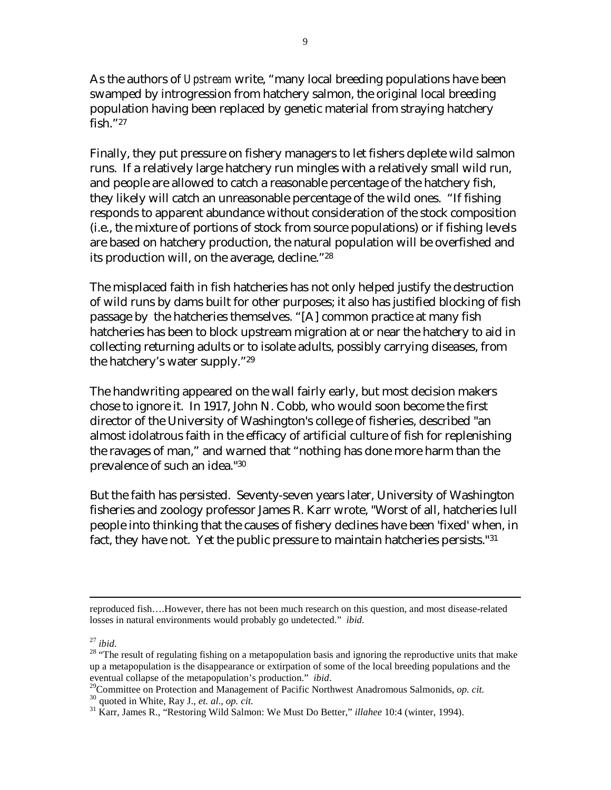As the authors of *Upstream* write, "many local breeding populations have been swamped by introgression from hatchery salmon, the original local breeding population having been replaced by genetic material from straying hatchery fish."[27](#page-8-0)

Finally, they put pressure on fishery managers to let fishers deplete wild salmon runs. If a relatively large hatchery run mingles with a relatively small wild run, and people are allowed to catch a reasonable percentage of the hatchery fish, they likely will catch an unreasonable percentage of the wild ones. "If fishing responds to apparent abundance without consideration of the stock composition (i.e., the mixture of portions of stock from source populations) or if fishing levels are based on hatchery production, the natural population will be overfished and its production will, on the average, decline."[28](#page-8-1)

The misplaced faith in fish hatcheries has not only helped justify the destruction of wild runs by dams built for other purposes; it also has justified blocking of fish passage by the hatcheries themselves. "[A] common practice at many fish hatcheries has been to block upstream migration at or near the hatchery to aid in collecting returning adults or to isolate adults, possibly carrying diseases, from the hatchery's water supply."[29](#page-8-2)

The handwriting appeared on the wall fairly early, but most decision makers chose to ignore it. In 1917, John N. Cobb, who would soon become the first director of the University of Washington's college of fisheries, described "an almost idolatrous faith in the efficacy of artificial culture of fish for replenishing the ravages of man," and warned that "nothing has done more harm than the prevalence of such an idea.["30](#page-8-3)

But the faith has persisted. Seventy-seven years later, University of Washington fisheries and zoology professor James R. Karr wrote, "Worst of all, hatcheries lull people into thinking that the causes of fishery declines have been 'fixed' when, in fact, they have not. Yet the public pressure to maintain hatcheries persists."[31](#page-8-4) 

 $\overline{a}$ 

<span id="page-8-2"></span>eventual collapse of the metapopulation's production." *ibid.*<br><sup>29</sup> Committee on Protection and Management of Pacific Northwest Anadromous Salmonids, *op. cit.*<br><sup>30</sup> quoted in White, Ray J., *et. al.*, *op. cit.*<br><sup>31</sup> Karr

reproduced fish….However, there has not been much research on this question, and most disease-related losses in natural environments would probably go undetected." *ibid.*

<span id="page-8-1"></span><span id="page-8-0"></span>

<sup>&</sup>lt;sup>27</sup> *ibid*.<br><sup>28</sup> "The result of regulating fishing on a metapopulation basis and ignoring the reproductive units that make up a metapopulation is the disappearance or extirpation of some of the local breeding populations and the

<span id="page-8-3"></span>

<span id="page-8-4"></span>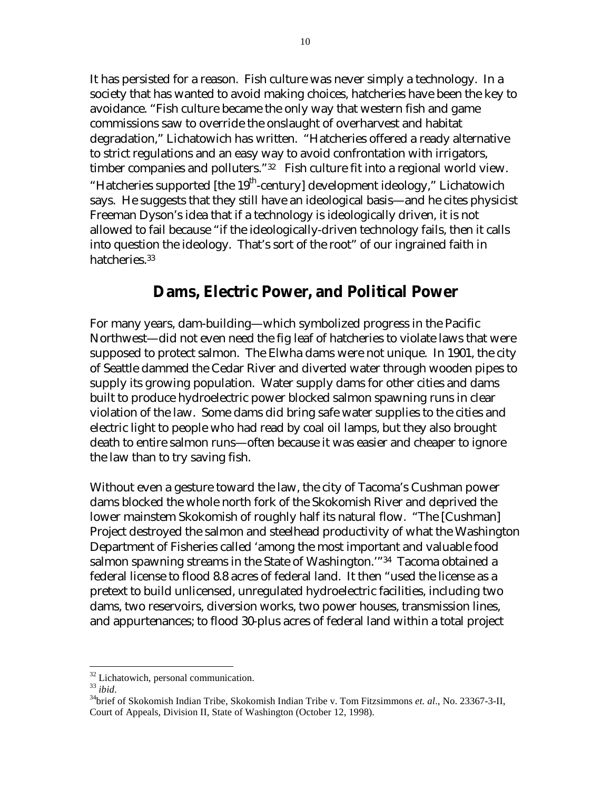It has persisted for a reason. Fish culture was never simply a technology. In a society that has wanted to avoid making choices, hatcheries have been the key to avoidance. "Fish culture became the only way that western fish and game commissions saw to override the onslaught of overharvest and habitat degradation," Lichatowich has written. "Hatcheries offered a ready alternative to strict regulations and an easy way to avoid confrontation with irrigators, timber companies and polluters."<sup>32</sup> Fish culture fit into a regional world view. "Hatcheries supported [the  $19<sup>th</sup>$ -century] development ideology," Lichatowich says. He suggests that they still have an ideological basis—and he cites physicist Freeman Dyson's idea that if a technology is ideologically driven, it is not allowed to fail because "if the ideologically-driven technology fails, then it calls into question the ideology. That's sort of the root" of our ingrained faith in hatcheries.[33](#page-9-1)

### **Dams, Electric Power, and Political Power**

For many years, dam-building—which symbolized progress in the Pacific Northwest—did not even need the fig leaf of hatcheries to violate laws that were supposed to protect salmon. The Elwha dams were not unique. In 1901, the city of Seattle dammed the Cedar River and diverted water through wooden pipes to supply its growing population. Water supply dams for other cities and dams built to produce hydroelectric power blocked salmon spawning runs in clear violation of the law. Some dams did bring safe water supplies to the cities and electric light to people who had read by coal oil lamps, but they also brought death to entire salmon runs—often because it was easier and cheaper to ignore the law than to try saving fish.

Without even a gesture toward the law, the city of Tacoma's Cushman power dams blocked the whole north fork of the Skokomish River and deprived the lower mainstem Skokomish of roughly half its natural flow. "The [Cushman] Project destroyed the salmon and steelhead productivity of what the Washington Department of Fisheries called 'among the most important and valuable food salmon spawning streams in the State of Washington.'"[34](#page-9-2) Tacoma obtained a federal license to flood 8.8 acres of federal land. It then "used the license as a pretext to build unlicensed, unregulated hydroelectric facilities, including two dams, two reservoirs, diversion works, two power houses, transmission lines, and appurtenances; to flood 30-plus acres of federal land within a total project

<span id="page-9-0"></span><sup>&</sup>lt;sup>32</sup> Lichatowich, personal communication.

<span id="page-9-1"></span>

<span id="page-9-2"></span><sup>33</sup> *ibid*. 34brief of Skokomish Indian Tribe, Skokomish Indian Tribe v. Tom Fitzsimmons *et. al*., No. 23367-3-II, Court of Appeals, Division II, State of Washington (October 12, 1998).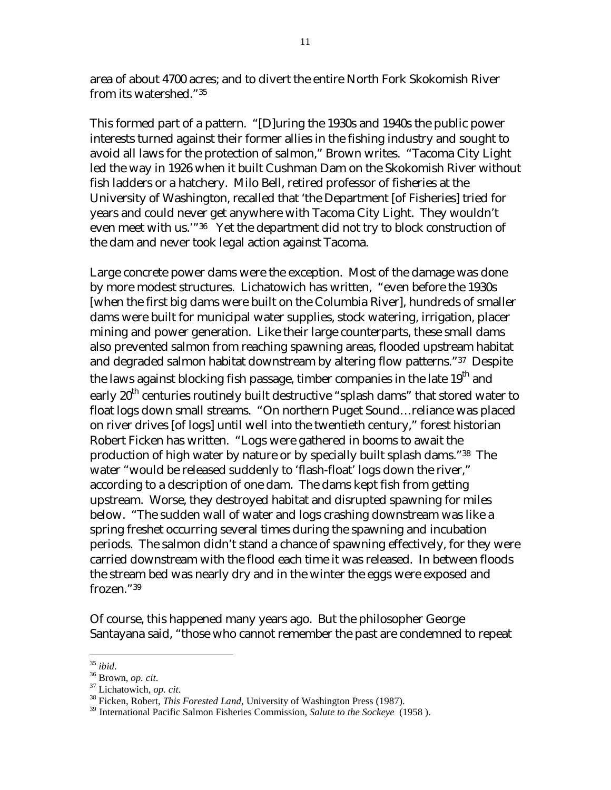area of about 4700 acres; and to divert the entire North Fork Skokomish River from its watershed."[35](#page-10-0) 

This formed part of a pattern. "[D]uring the 1930s and 1940s the public power interests turned against their former allies in the fishing industry and sought to avoid all laws for the protection of salmon," Brown writes. "Tacoma City Light led the way in 1926 when it built Cushman Dam on the Skokomish River without fish ladders or a hatchery. Milo Bell, retired professor of fisheries at the University of Washington, recalled that 'the Department [of Fisheries] tried for years and could never get anywhere with Tacoma City Light. They wouldn't even meet with us.'"[36](#page-10-1) Yet the department did not try to block construction of the dam and never took legal action against Tacoma.

Large concrete power dams were the exception. Most of the damage was done by more modest structures. Lichatowich has written, "even before the 1930s [when the first big dams were built on the Columbia River], hundreds of smaller dams were built for municipal water supplies, stock watering, irrigation, placer mining and power generation. Like their large counterparts, these small dams also prevented salmon from reaching spawning areas, flooded upstream habitat and degraded salmon habitat downstream by altering flow patterns."[37](#page-10-2) Despite the laws against blocking fish passage, timber companies in the late 19<sup>th</sup> and early  $20<sup>th</sup>$  centuries routinely built destructive "splash dams" that stored water to float logs down small streams. "On northern Puget Sound…reliance was placed on river drives [of logs] until well into the twentieth century," forest historian Robert Ficken has written. "Logs were gathered in booms to await the production of high water by nature or by specially built splash dams."[38](#page-10-3) The water "would be released suddenly to 'flash-float' logs down the river," according to a description of one dam. The dams kept fish from getting upstream. Worse, they destroyed habitat and disrupted spawning for miles below. "The sudden wall of water and logs crashing downstream was like a spring freshet occurring several times during the spawning and incubation periods. The salmon didn't stand a chance of spawning effectively, for they were carried downstream with the flood each time it was released. In between floods the stream bed was nearly dry and in the winter the eggs were exposed and frozen.["39](#page-10-4) 

Of course, this happened many years ago. But the philosopher George Santayana said, "those who cannot remember the past are condemned to repeat

<span id="page-10-0"></span> $35$  ibid

<span id="page-10-1"></span>

<span id="page-10-3"></span><span id="page-10-2"></span>

<sup>&</sup>lt;sup>36</sup> Brown, *op. cit.* 37 Lichatowich, *op. cit.* 37 Lichatowich, *op. cit.* 38 Ficken, Robert, *This Forested Land*, University of Washington Press (1987).

<span id="page-10-4"></span><sup>39</sup> International Pacific Salmon Fisheries Commission, *Salute to the Sockeye* (1958 ).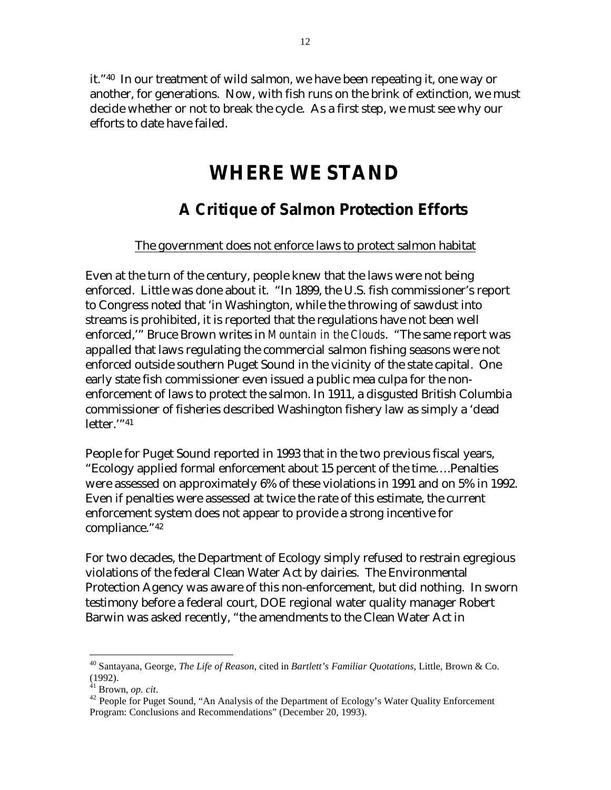it."[40](#page-11-0) In our treatment of wild salmon, we have been repeating it, one way or another, for generations. Now, with fish runs on the brink of extinction, we must decide whether or not to break the cycle. As a first step, we must see why our efforts to date have failed.

## **WHERE WE STAND**

## **A Critique of Salmon Protection Efforts**

#### The government does not enforce laws to protect salmon habitat

Even at the turn of the century, people knew that the laws were not being enforced. Little was done about it. "In 1899, the U.S. fish commissioner's report to Congress noted that 'in Washington, while the throwing of sawdust into streams is prohibited, it is reported that the regulations have not been well enforced,'" Bruce Brown writes in *Mountain in the Clouds*. "The same report was appalled that laws regulating the commercial salmon fishing seasons were not enforced outside southern Puget Sound in the vicinity of the state capital. One early state fish commissioner even issued a public mea culpa for the nonenforcement of laws to protect the salmon. In 1911, a disgusted British Columbia commissioner of fisheries described Washington fishery law as simply a 'dead letter.'["41](#page-11-1)

People for Puget Sound reported in 1993 that in the two previous fiscal years, "Ecology applied formal enforcement about 15 percent of the time….Penalties were assessed on approximately 6% of these violations in 1991 and on 5% in 1992. Even if penalties were assessed at twice the rate of this estimate, the current enforcement system does not appear to provide a strong incentive for compliance.["42](#page-11-2)

For two decades, the Department of Ecology simply refused to restrain egregious violations of the federal Clean Water Act by dairies. The Environmental Protection Agency was aware of this non-enforcement, but did nothing. In sworn testimony before a federal court, DOE regional water quality manager Robert Barwin was asked recently, "the amendments to the Clean Water Act in

1

<span id="page-11-0"></span><sup>40</sup> Santayana, George, *The Life of Reason*, cited in *Bartlett's Familiar Quotations*, Little, Brown & Co. (1992).  $^{41}$  Brown, *op. cit.* 

<span id="page-11-1"></span>

<span id="page-11-2"></span><sup>&</sup>lt;sup>42</sup> People for Puget Sound, "An Analysis of the Department of Ecology's Water Quality Enforcement Program: Conclusions and Recommendations" (December 20, 1993).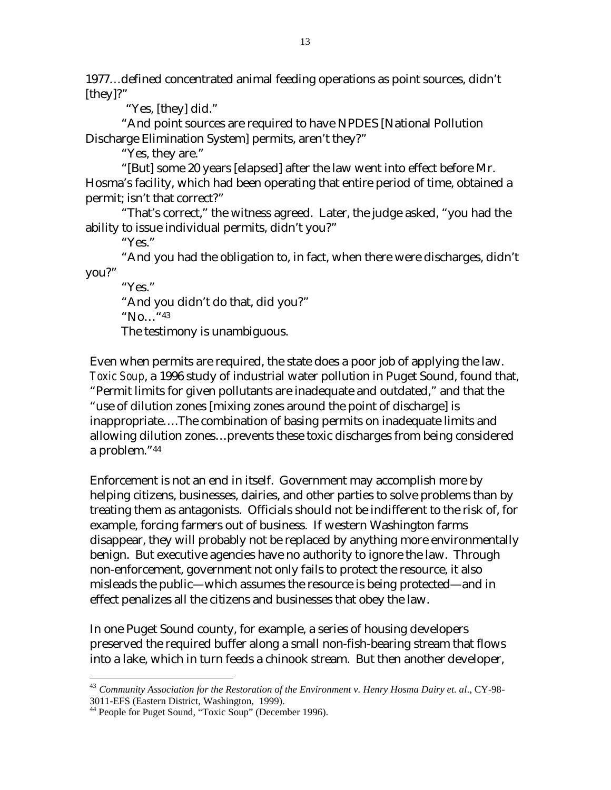1977…defined concentrated animal feeding operations as point sources, didn't [they]?"

"Yes, [they] did."

"And point sources are required to have NPDES [National Pollution Discharge Elimination System] permits, aren't they?"

"Yes, they are."

"[But] some 20 years [elapsed] after the law went into effect before Mr. Hosma's facility, which had been operating that entire period of time, obtained a permit; isn't that correct?"

"That's correct," the witness agreed. Later, the judge asked, "you had the ability to issue individual permits, didn't you?"

"Yes."

"And you had the obligation to, in fact, when there were discharges, didn't you?"

"Yes."

"And you didn't do that, did you?"

"No…["43](#page-12-0)

The testimony is unambiguous.

Even when permits are required, the state does a poor job of applying the law. *Toxic Soup*, a 1996 study of industrial water pollution in Puget Sound, found that, "Permit limits for given pollutants are inadequate and outdated," and that the "use of dilution zones [mixing zones around the point of discharge] is inappropriate….The combination of basing permits on inadequate limits and allowing dilution zones…prevents these toxic discharges from being considered a problem."[44](#page-12-1)

Enforcement is not an end in itself. Government may accomplish more by helping citizens, businesses, dairies, and other parties to solve problems than by treating them as antagonists. Officials should not be indifferent to the risk of, for example, forcing farmers out of business. If western Washington farms disappear, they will probably not be replaced by anything more environmentally benign. But executive agencies have no authority to ignore the law. Through non-enforcement, government not only fails to protect the resource, it also misleads the public—which assumes the resource is being protected—and in effect penalizes all the citizens and businesses that obey the law.

In one Puget Sound county, for example, a series of housing developers preserved the required buffer along a small non-fish-bearing stream that flows into a lake, which in turn feeds a chinook stream. But then another developer,

<span id="page-12-0"></span> $\overline{a}$ <sup>43</sup> *Community Association for the Restoration of the Environment v. Henry Hosma Dairy et. al*., CY-98- 3011-EFS (Eastern District, Washington, 1999).

<span id="page-12-1"></span><sup>&</sup>lt;sup>44</sup> People for Puget Sound, "Toxic Soup" (December 1996).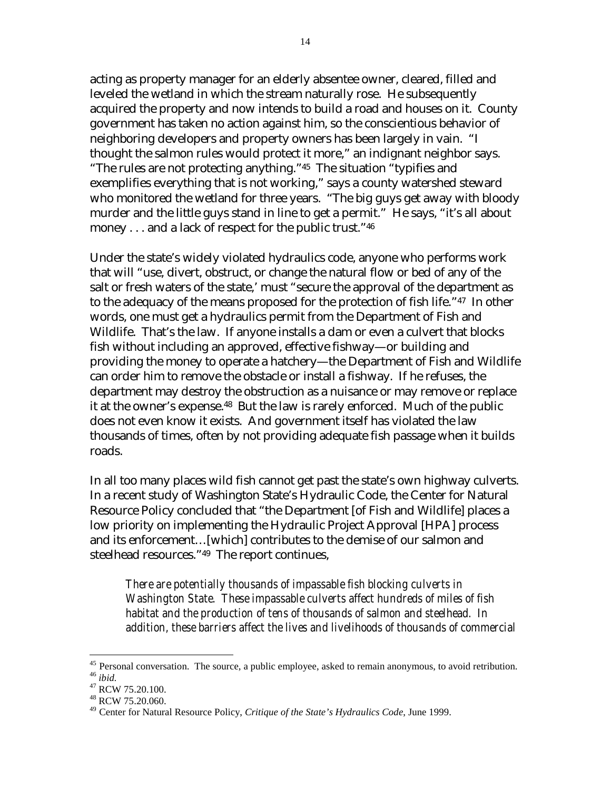acting as property manager for an elderly absentee owner, cleared, filled and leveled the wetland in which the stream naturally rose. He subsequently acquired the property and now intends to build a road and houses on it. County government has taken no action against him, so the conscientious behavior of neighboring developers and property owners has been largely in vain. "I thought the salmon rules would protect it more," an indignant neighbor says. "The rules are not protecting anything."[45](#page-13-0) The situation "typifies and exemplifies everything that is not working," says a county watershed steward who monitored the wetland for three years. "The big guys get away with bloody murder and the little guys stand in line to get a permit." He says, "it's all about money . . . and a lack of respect for the public trust.["46](#page-13-1)

Under the state's widely violated hydraulics code, anyone who performs work that will "use, divert, obstruct, or change the natural flow or bed of any of the salt or fresh waters of the state,' must "secure the approval of the department as to the adequacy of the means proposed for the protection of fish life.["47](#page-13-2) In other words, one must get a hydraulics permit from the Department of Fish and Wildlife. That's the law. If anyone installs a dam or even a culvert that blocks fish without including an approved, effective fishway—or building and providing the money to operate a hatchery—the Department of Fish and Wildlife can order him to remove the obstacle or install a fishway. If he refuses, the department may destroy the obstruction as a nuisance or may remove or replace it at the owner's expense[.48](#page-13-3) But the law is rarely enforced. Much of the public does not even know it exists. And government itself has violated the law thousands of times, often by not providing adequate fish passage when it builds roads.

In all too many places wild fish cannot get past the state's own highway culverts. In a recent study of Washington State's Hydraulic Code, the Center for Natural Resource Policy concluded that "the Department [of Fish and Wildlife] places a low priority on implementing the Hydraulic Project Approval [HPA] process and its enforcement…[which] contributes to the demise of our salmon and steelhead resources."[49](#page-13-4) The report continues,

*There are potentially thousands of impassable fish blocking culverts in Washington State. These impassable culverts affect hundreds of miles of fish habitat and the production of tens of thousands of salmon and steelhead. In addition, these barriers affect the lives and livelihoods of thousands of commercial* 

<span id="page-13-0"></span><sup>&</sup>lt;sup>45</sup> Personal conversation. The source, a public employee, asked to remain anonymous, to avoid retribution. <sup>46</sup> *ibid.* <sup>47</sup> RCW 75.20.100.

<span id="page-13-1"></span>

<span id="page-13-2"></span> $48$  RCW 75.20.060.

<span id="page-13-3"></span>

<span id="page-13-4"></span><sup>49</sup> Center for Natural Resource Policy, *Critique of the State's Hydraulics Code*, June 1999.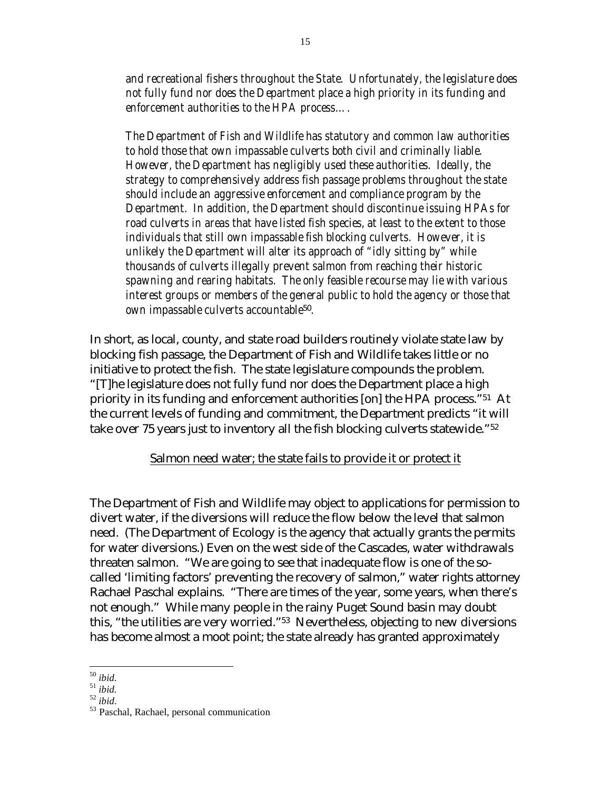*and recreational fishers throughout the State. Unfortunately, the legislature does not fully fund nor does the Department place a high priority in its funding and enforcement authorities to the HPA process….* 

*The Department of Fish and Wildlife has statutory and common law authorities to hold those that own impassable culverts both civil and criminally liable. However, the Department has negligibly used these authorities. Ideally, the strategy to comprehensively address fish passage problems throughout the state should include an aggressive enforcement and compliance program by the Department. In addition, the Department should discontinue issuing HPAs for road culverts in areas that have listed fish species, at least to the extent to those individuals that still own impassable fish blocking culverts. However, it is unlikely the Department will alter its approach of "idly sitting by" while thousands of culverts illegally prevent salmon from reaching their historic spawning and rearing habitats. The only feasible recourse may lie with various interest groups or members of the general public to hold the agency or those that own impassable culverts accountable*[50](#page-14-0)*.* 

In short, as local, county, and state road builders routinely violate state law by blocking fish passage, the Department of Fish and Wildlife takes little or no initiative to protect the fish. The state legislature compounds the problem. "[T]he legislature does not fully fund nor does the Department place a high priority in its funding and enforcement authorities [on] the HPA process."[51](#page-14-1) At the current levels of funding and commitment, the Department predicts "it will take over 75 years just to inventory all the fish blocking culverts statewide.["52](#page-14-2) 

#### Salmon need water; the state fails to provide it or protect it

The Department of Fish and Wildlife may object to applications for permission to divert water, if the diversions will reduce the flow below the level that salmon need. (The Department of Ecology is the agency that actually grants the permits for water diversions.) Even on the west side of the Cascades, water withdrawals threaten salmon. "We are going to see that inadequate flow is one of the socalled 'limiting factors' preventing the recovery of salmon," water rights attorney Rachael Paschal explains. "There are times of the year, some years, when there's not enough." While many people in the rainy Puget Sound basin may doubt this, "the utilities are very worried.["53](#page-14-3) Nevertheless, objecting to new diversions has become almost a moot point; the state already has granted approximately

<span id="page-14-0"></span> $50$  ibid.

<span id="page-14-1"></span>

<span id="page-14-3"></span><span id="page-14-2"></span>

<sup>50</sup> *ibid.* <sup>51</sup> *ibid.* <sup>52</sup> *ibid*. 53 Paschal, Rachael, personal communication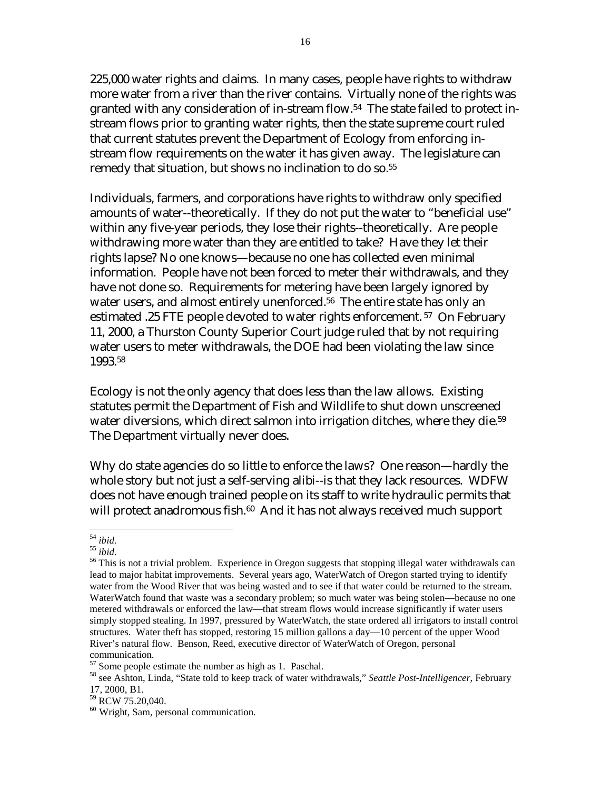225,000 water rights and claims. In many cases, people have rights to withdraw more water from a river than the river contains. Virtually none of the rights was granted with any consideration of in-stream flow.[54](#page-15-0) The state failed to protect instream flows prior to granting water rights, then the state supreme court ruled that current statutes prevent the Department of Ecology from enforcing instream flow requirements on the water it has given away. The legislature can remedy that situation, but shows no inclination to do so[.55](#page-15-1) 

Individuals, farmers, and corporations have rights to withdraw only specified amounts of water--theoretically. If they do not put the water to "beneficial use" within any five-year periods, they lose their rights--theoretically. Are people withdrawing more water than they are entitled to take? Have they let their rights lapse? No one knows—because no one has collected even minimal information. People have not been forced to meter their withdrawals, and they have not done so. Requirements for metering have been largely ignored by water users, and almost entirely unenforced.<sup>56</sup> The entire state has only an estimated .25 FTE people devoted to water rights enforcement. [57](#page-15-3) On February 11, 2000, a Thurston County Superior Court judge ruled that by not requiring water users to meter withdrawals, the DOE had been violating the law since 1993.[58](#page-15-4) 

Ecology is not the only agency that does less than the law allows. Existing statutes permit the Department of Fish and Wildlife to shut down unscreened water diversions, which direct salmon into irrigation ditches, where they die.<sup>59</sup> The Department virtually never does.

Why do state agencies do so little to enforce the laws? One reason—hardly the whole story but not just a self-serving alibi--is that they lack resources. WDFW does not have enough trained people on its staff to write hydraulic permits that will protect anadromous fish.<sup>60</sup> And it has not always received much support

<span id="page-15-0"></span> $54$  ibid.

<span id="page-15-2"></span><span id="page-15-1"></span>

<sup>&</sup>lt;sup>55</sup> *ibid*.<br><sup>56</sup> This is not a trivial problem. Experience in Oregon suggests that stopping illegal water withdrawals can lead to major habitat improvements. Several years ago, WaterWatch of Oregon started trying to identify water from the Wood River that was being wasted and to see if that water could be returned to the stream. WaterWatch found that waste was a secondary problem; so much water was being stolen—because no one metered withdrawals or enforced the law—that stream flows would increase significantly if water users simply stopped stealing. In 1997, pressured by WaterWatch, the state ordered all irrigators to install control structures. Water theft has stopped, restoring 15 million gallons a day—10 percent of the upper Wood River's natural flow. Benson, Reed, executive director of WaterWatch of Oregon, personal

<span id="page-15-3"></span>communication.<br> $57$  Some people estimate the number as high as 1. Paschal.

<span id="page-15-4"></span><sup>&</sup>lt;sup>58</sup> see Ashton, Linda, "State told to keep track of water withdrawals," *Seattle Post-Intelligencer*, February 17, 2000, B1.

<span id="page-15-5"></span><sup>&</sup>lt;sup>59</sup> RCW 75.20,040.

<span id="page-15-6"></span><sup>&</sup>lt;sup>60</sup> Wright, Sam, personal communication.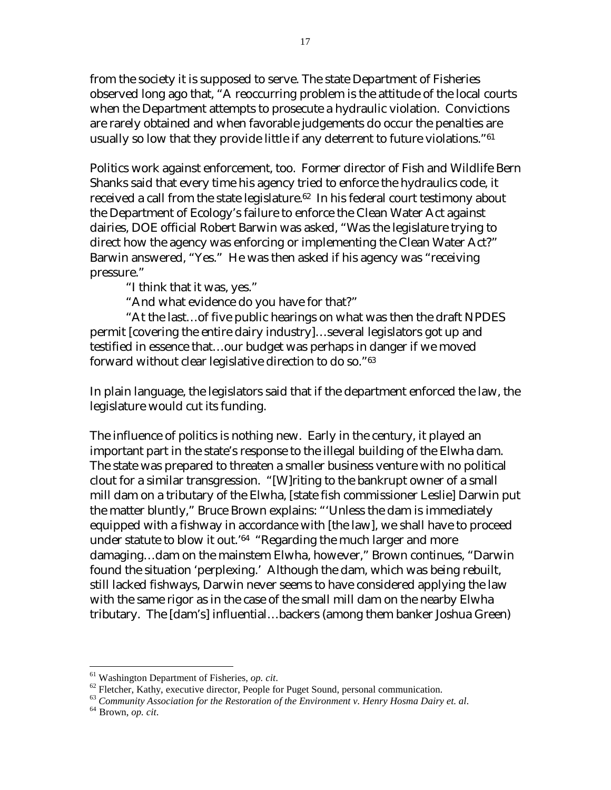from the society it is supposed to serve. The state Department of Fisheries observed long ago that, "A reoccurring problem is the attitude of the local courts when the Department attempts to prosecute a hydraulic violation. Convictions are rarely obtained and when favorable judgements do occur the penalties are usually so low that they provide little if any deterrent to future violations."[61](#page-16-0) 

Politics work against enforcement, too. Former director of Fish and Wildlife Bern Shanks said that every time his agency tried to enforce the hydraulics code, it received a call from the state legislature.<sup>62</sup> In his federal court testimony about the Department of Ecology's failure to enforce the Clean Water Act against dairies, DOE official Robert Barwin was asked, "Was the legislature trying to direct how the agency was enforcing or implementing the Clean Water Act?" Barwin answered, "Yes." He was then asked if his agency was "receiving pressure."

"I think that it was, yes."

"And what evidence do you have for that?"

"At the last…of five public hearings on what was then the draft NPDES permit [covering the entire dairy industry]…several legislators got up and testified in essence that…our budget was perhaps in danger if we moved forward without clear legislative direction to do so.["63](#page-16-2)

In plain language, the legislators said that if the department enforced the law, the legislature would cut its funding.

The influence of politics is nothing new. Early in the century, it played an important part in the state's response to the illegal building of the Elwha dam. The state was prepared to threaten a smaller business venture with no political clout for a similar transgression. "[W]riting to the bankrupt owner of a small mill dam on a tributary of the Elwha, [state fish commissioner Leslie] Darwin put the matter bluntly," Bruce Brown explains: "'Unless the dam is immediately equipped with a fishway in accordance with [the law], we shall have to proceed under statute to blow it out.'[64](#page-16-3) "Regarding the much larger and more damaging…dam on the mainstem Elwha, however," Brown continues, "Darwin found the situation 'perplexing.' Although the dam, which was being rebuilt, still lacked fishways, Darwin never seems to have considered applying the law with the same rigor as in the case of the small mill dam on the nearby Elwha tributary. The [dam's] influential…backers (among them banker Joshua Green)

<span id="page-16-1"></span><span id="page-16-0"></span>

<sup>&</sup>lt;sup>61</sup> Washington Department of Fisheries, *op. cit.*<br><sup>62</sup> Fletcher, Kathy, executive director, People for Puget Sound, personal communication.<br><sup>63</sup> Community Association for the Restoration of the Environment v. Henry Hosm

<span id="page-16-2"></span>

<span id="page-16-3"></span>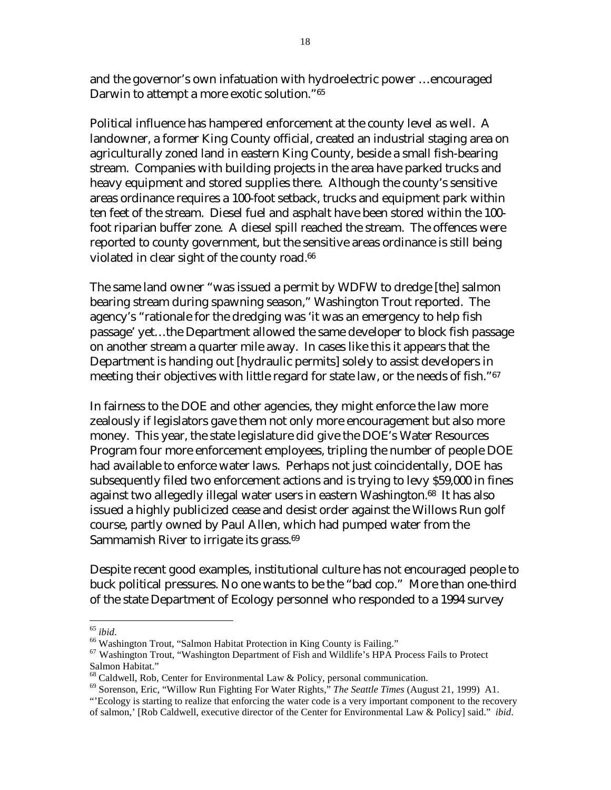and the governor's own infatuation with hydroelectric power …encouraged Darwin to attempt a more exotic solution.["65](#page-17-0)

Political influence has hampered enforcement at the county level as well. A landowner, a former King County official, created an industrial staging area on agriculturally zoned land in eastern King County, beside a small fish-bearing stream. Companies with building projects in the area have parked trucks and heavy equipment and stored supplies there. Although the county's sensitive areas ordinance requires a 100-foot setback, trucks and equipment park within ten feet of the stream. Diesel fuel and asphalt have been stored within the 100 foot riparian buffer zone. A diesel spill reached the stream. The offences were reported to county government, but the sensitive areas ordinance is still being violated in clear sight of the county road.<sup>66</sup>

The same land owner "was issued a permit by WDFW to dredge [the] salmon bearing stream during spawning season," Washington Trout reported. The agency's "rationale for the dredging was 'it was an emergency to help fish passage' yet…the Department allowed the same developer to block fish passage on another stream a quarter mile away. In cases like this it appears that the Department is handing out [hydraulic permits] solely to assist developers in meeting their objectives with little regard for state law, or the needs of fish."<sup>[67](#page-17-2)</sup>

In fairness to the DOE and other agencies, they might enforce the law more zealously if legislators gave them not only more encouragement but also more money. This year, the state legislature did give the DOE's Water Resources Program four more enforcement employees, tripling the number of people DOE had available to enforce water laws. Perhaps not just coincidentally, DOE has subsequently filed two enforcement actions and is trying to levy \$59,000 in fines against two allegedly illegal water users in eastern Washington[.68](#page-17-3) It has also issued a highly publicized cease and desist order against the Willows Run golf course, partly owned by Paul Allen, which had pumped water from the Sammamish River to irrigate its grass.<sup>69</sup>

Despite recent good examples, institutional culture has not encouraged people to buck political pressures. No one wants to be the "bad cop." More than one-third of the state Department of Ecology personnel who responded to a 1994 survey

<span id="page-17-0"></span> $65$  ibid.

<span id="page-17-1"></span><sup>&</sup>lt;sup>66</sup> Washington Trout, "Salmon Habitat Protection in King County is Failing."

<span id="page-17-2"></span><sup>&</sup>lt;sup>67</sup> Washington Trout, "Washington Department of Fish and Wildlife's HPA Process Fails to Protect Salmon Habitat."

<span id="page-17-3"></span> $68$  Caldwell, Rob, Center for Environmental Law & Policy, personal communication.

<span id="page-17-4"></span><sup>69</sup> Sorenson, Eric, "Willow Run Fighting For Water Rights," *The Seattle Times* (August 21, 1999) A1. "'Ecology is starting to realize that enforcing the water code is a very important component to the recovery

of salmon,' [Rob Caldwell, executive director of the Center for Environmental Law & Policy] said." *ibid*.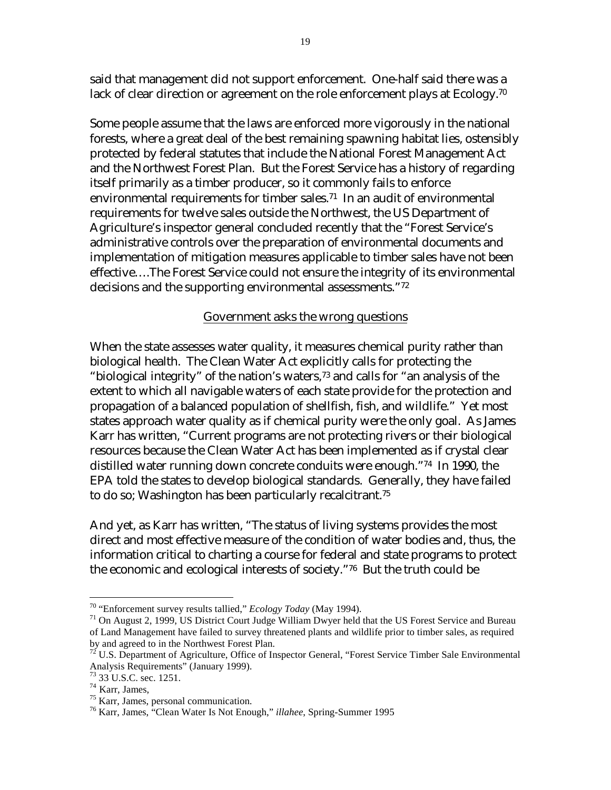said that management did not support enforcement. One-half said there was a lack of clear direction or agreement on the role enforcement plays at Ecology.<sup>[70](#page-18-0)</sup>

Some people assume that the laws are enforced more vigorously in the national forests, where a great deal of the best remaining spawning habitat lies, ostensibly protected by federal statutes that include the National Forest Management Act and the Northwest Forest Plan. But the Forest Service has a history of regarding itself primarily as a timber producer, so it commonly fails to enforce environmental requirements for timber sales.[71](#page-18-1) In an audit of environmental requirements for twelve sales outside the Northwest, the US Department of Agriculture's inspector general concluded recently that the "Forest Service's administrative controls over the preparation of environmental documents and implementation of mitigation measures applicable to timber sales have not been effective….The Forest Service could not ensure the integrity of its environmental decisions and the supporting environmental assessments."[72](#page-18-2)

#### Government asks the wrong questions

When the state assesses water quality, it measures chemical purity rather than biological health. The Clean Water Act explicitly calls for protecting the "biological integrity" of the nation's waters,[73 a](#page-18-3)nd calls for "an analysis of the extent to which all navigable waters of each state provide for the protection and propagation of a balanced population of shellfish, fish, and wildlife." Yet most states approach water quality as if chemical purity were the only goal. As James Karr has written, "Current programs are not protecting rivers or their biological resources because the Clean Water Act has been implemented as if crystal clear distilled water running down concrete conduits were enough."[74](#page-18-4) In 1990, the EPA told the states to develop biological standards. Generally, they have failed to do so; Washington has been particularly recalcitrant.[75](#page-18-5) 

And yet, as Karr has written, "The status of living systems provides the most direct and most effective measure of the condition of water bodies and, thus, the information critical to charting a course for federal and state programs to protect the economic and ecological interests of society."[76](#page-18-6) But the truth could be

<span id="page-18-1"></span><span id="page-18-0"></span>

<sup>&</sup>lt;sup>70</sup> "Enforcement survey results tallied," *Ecology Today* (May 1994).<br><sup>71</sup> On August 2, 1999, US District Court Judge William Dwyer held that the US Forest Service and Bureau of Land Management have failed to survey threatened plants and wildlife prior to timber sales, as required by and agreed to in the Northwest Forest Plan.

<span id="page-18-2"></span><sup>&</sup>lt;sup>72</sup> U.S. Department of Agriculture, Office of Inspector General, "Forest Service Timber Sale Environmental Analysis Requirements" (January 1999).

<span id="page-18-3"></span> $^{73}$  33 U.S.C. sec. 1251.<br><sup>74</sup> Karr, James,

<span id="page-18-4"></span>

<span id="page-18-5"></span> $75$  Karr, James, personal communication.

<span id="page-18-6"></span><sup>76</sup> Karr, James, "Clean Water Is Not Enough," *illahee*, Spring-Summer 1995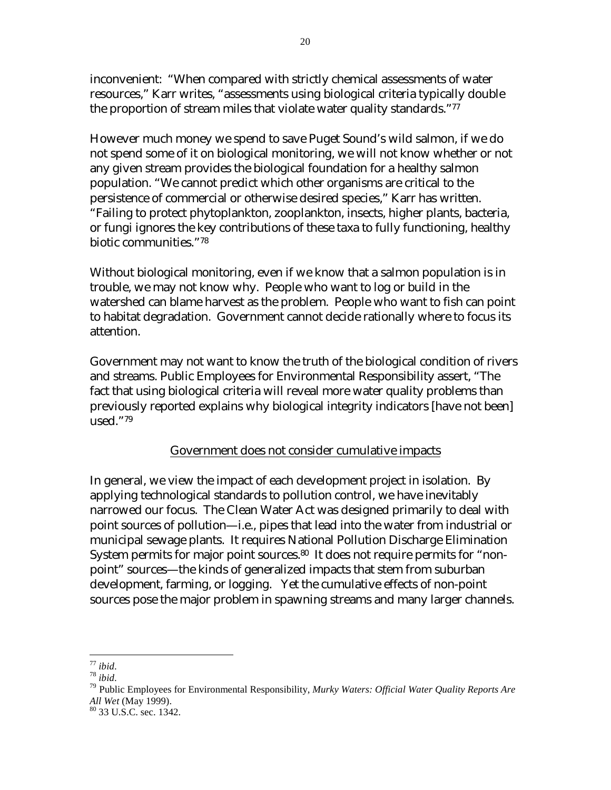inconvenient: "When compared with strictly chemical assessments of water resources," Karr writes, "assessments using biological criteria typically double the proportion of stream miles that violate water quality standards."[77](#page-19-0) 

However much money we spend to save Puget Sound's wild salmon, if we do not spend some of it on biological monitoring, we will not know whether or not any given stream provides the biological foundation for a healthy salmon population. "We cannot predict which other organisms are critical to the persistence of commercial or otherwise desired species," Karr has written. "Failing to protect phytoplankton, zooplankton, insects, higher plants, bacteria, or fungi ignores the key contributions of these taxa to fully functioning, healthy biotic communities.["78](#page-19-1) 

Without biological monitoring, even if we know that a salmon population is in trouble, we may not know why. People who want to log or build in the watershed can blame harvest as the problem. People who want to fish can point to habitat degradation. Government cannot decide rationally where to focus its attention.

Government may not want to know the truth of the biological condition of rivers and streams. Public Employees for Environmental Responsibility assert, "The fact that using biological criteria will reveal more water quality problems than previously reported explains why biological integrity indicators [have not been] used."[79](#page-19-2)

#### Government does not consider cumulative impacts

In general, we view the impact of each development project in isolation. By applying technological standards to pollution control, we have inevitably narrowed our focus. The Clean Water Act was designed primarily to deal with point sources of pollution—i.e., pipes that lead into the water from industrial or municipal sewage plants. It requires National Pollution Discharge Elimination System permits for major point sources.<sup>80</sup> It does not require permits for "nonpoint" sources—the kinds of generalized impacts that stem from suburban development, farming, or logging. Yet the cumulative effects of non-point sources pose the major problem in spawning streams and many larger channels.

<span id="page-19-0"></span> $77$  ibid

<span id="page-19-2"></span><span id="page-19-1"></span>

<sup>&</sup>lt;sup>78</sup> *ibid*.<br><sup>79</sup> Public Employees for Environmental Responsibility, *Murky Waters: Official Water Quality Reports Are <br>All Wet (May 1999).* 

<span id="page-19-3"></span><sup>&</sup>lt;sup>80</sup> 33 U.S.C. sec. 1342.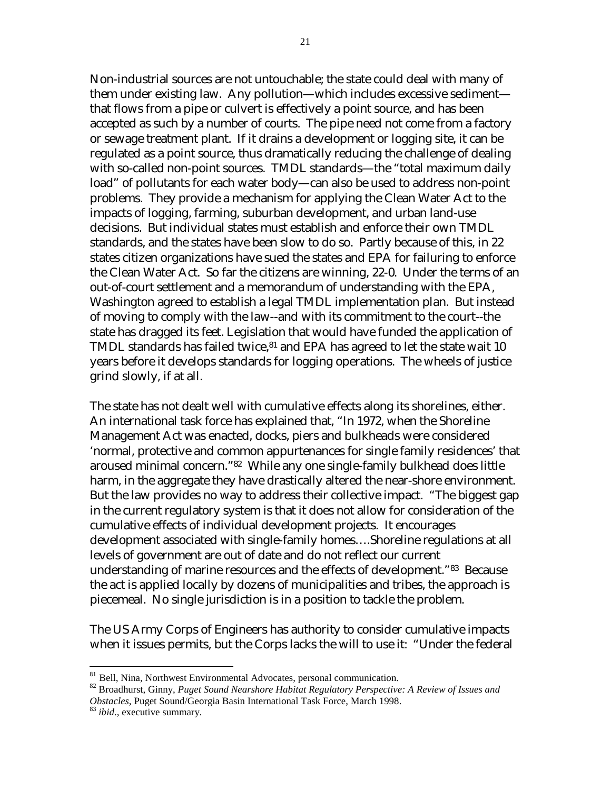Non-industrial sources are not untouchable; the state could deal with many of them under existing law. Any pollution—which includes excessive sediment that flows from a pipe or culvert is effectively a point source, and has been accepted as such by a number of courts. The pipe need not come from a factory or sewage treatment plant. If it drains a development or logging site, it can be regulated as a point source, thus dramatically reducing the challenge of dealing with so-called non-point sources. TMDL standards—the "total maximum daily load" of pollutants for each water body—can also be used to address non-point problems. They provide a mechanism for applying the Clean Water Act to the impacts of logging, farming, suburban development, and urban land-use decisions. But individual states must establish and enforce their own TMDL standards, and the states have been slow to do so. Partly because of this, in 22 states citizen organizations have sued the states and EPA for failuring to enforce the Clean Water Act. So far the citizens are winning, 22-0. Under the terms of an out-of-court settlement and a memorandum of understanding with the EPA, Washington agreed to establish a legal TMDL implementation plan. But instead of moving to comply with the law--and with its commitment to the court--the state has dragged its feet. Legislation that would have funded the application of TMDL standards has failed twice, $81$  and EPA has agreed to let the state wait 10 years before it develops standards for logging operations. The wheels of justice grind slowly, if at all.

The state has not dealt well with cumulative effects along its shorelines, either. An international task force has explained that, "In 1972, when the Shoreline Management Act was enacted, docks, piers and bulkheads were considered 'normal, protective and common appurtenances for single family residences' that aroused minimal concern."[82](#page-20-1) While any one single-family bulkhead does little harm, in the aggregate they have drastically altered the near-shore environment. But the law provides no way to address their collective impact. "The biggest gap in the current regulatory system is that it does not allow for consideration of the cumulative effects of individual development projects. It encourages development associated with single-family homes….Shoreline regulations at all levels of government are out of date and do not reflect our current understanding of marine resources and the effects of development."[83](#page-20-2) Because the act is applied locally by dozens of municipalities and tribes, the approach is piecemeal. No single jurisdiction is in a position to tackle the problem.

The US Army Corps of Engineers has authority to consider cumulative impacts when it issues permits, but the Corps lacks the will to use it: "Under the federal

<span id="page-20-0"></span><sup>&</sup>lt;sup>81</sup> Bell, Nina, Northwest Environmental Advocates, personal communication.

<span id="page-20-1"></span><sup>&</sup>lt;sup>82</sup> Broadhurst, Ginny, Puget Sound Nearshore Habitat Regulatory Perspective: A Review of Issues and *Obstacles*, Puget Sound/Georgia Basin International Task Force, March 1998. 83 *ibid*., executive summary.

<span id="page-20-2"></span>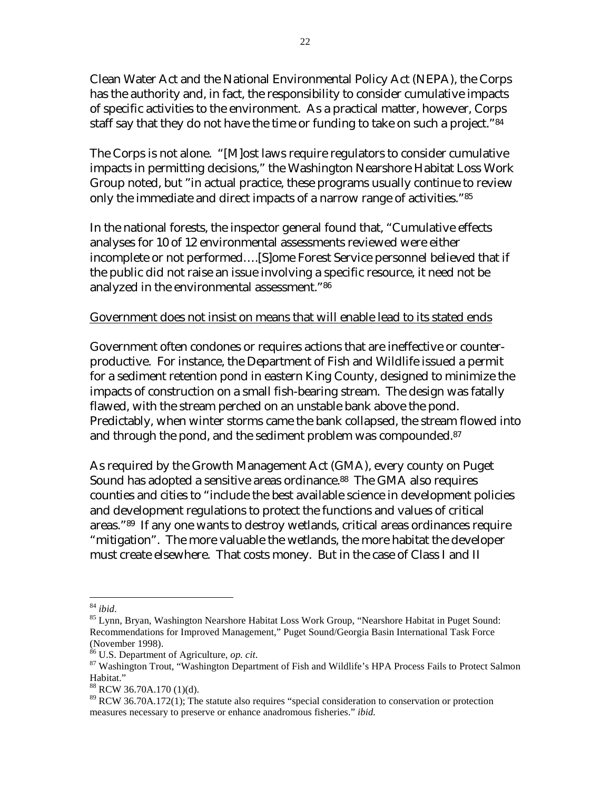Clean Water Act and the National Environmental Policy Act (NEPA), the Corps has the authority and, in fact, the responsibility to consider cumulative impacts of specific activities to the environment. As a practical matter, however, Corps staff say that they do not have the time or funding to take on such a project."<sup>84</sup>

The Corps is not alone. "[M]ost laws require regulators to consider cumulative impacts in permitting decisions," the Washington Nearshore Habitat Loss Work Group noted, but "in actual practice, these programs usually continue to review only the immediate and direct impacts of a narrow range of activities."[85](#page-21-1)

In the national forests, the inspector general found that, "Cumulative effects analyses for 10 of 12 environmental assessments reviewed were either incomplete or not performed….[S]ome Forest Service personnel believed that if the public did not raise an issue involving a specific resource, it need not be analyzed in the environmental assessment."[86](#page-21-2) 

#### Government does not insist on means that will enable lead to its stated ends

Government often condones or requires actions that are ineffective or counterproductive. For instance, the Department of Fish and Wildlife issued a permit for a sediment retention pond in eastern King County, designed to minimize the impacts of construction on a small fish-bearing stream. The design was fatally flawed, with the stream perched on an unstable bank above the pond. Predictably, when winter storms came the bank collapsed, the stream flowed into and through the pond, and the sediment problem was compounded.<sup>87</sup>

As required by the Growth Management Act (GMA), every county on Puget Sound has adopted a sensitive areas ordinance.<sup>88</sup> The GMA also requires counties and cities to "include the best available science in development policies and development regulations to protect the functions and values of critical areas."[89](#page-21-5) If any one wants to destroy wetlands, critical areas ordinances require "mitigation". The more valuable the wetlands, the more habitat the developer must create elsewhere. That costs money. But in the case of Class I and II

<span id="page-21-0"></span> $^{84}$  ibid.

<span id="page-21-1"></span><sup>&</sup>lt;sup>85</sup> Lynn, Bryan, Washington Nearshore Habitat Loss Work Group, "Nearshore Habitat in Puget Sound: Recommendations for Improved Management," Puget Sound/Georgia Basin International Task Force (November 1998).<br><sup>86</sup> U.S. Department of Agriculture, op. cit.

<span id="page-21-2"></span>

<span id="page-21-3"></span><sup>&</sup>lt;sup>87</sup> Washington Trout, "Washington Department of Fish and Wildlife's HPA Process Fails to Protect Salmon Habitat."

<span id="page-21-4"></span><sup>88</sup> RCW 36.70A.170 (1)(d).

<span id="page-21-5"></span><sup>&</sup>lt;sup>89</sup> RCW 36.70A.172(1); The statute also requires "special consideration to conservation or protection measures necessary to preserve or enhance anadromous fisheries." *ibid.*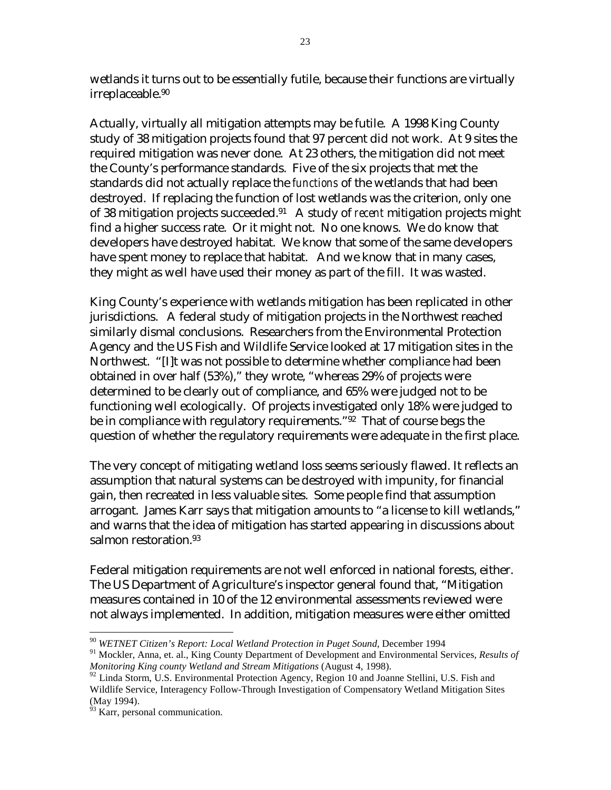wetlands it turns out to be essentially futile, because their functions are virtually irreplaceable[.90](#page-22-0) 

Actually, virtually all mitigation attempts may be futile. A 1998 King County study of 38 mitigation projects found that 97 percent did not work. At 9 sites the required mitigation was never done. At 23 others, the mitigation did not meet the County's performance standards. Five of the six projects that met the standards did not actually replace the *functions* of the wetlands that had been destroyed. If replacing the function of lost wetlands was the criterion, only one of 38 mitigation projects succeeded.[91](#page-22-1) A study of *recent* mitigation projects might find a higher success rate. Or it might not. No one knows. We do know that developers have destroyed habitat. We know that some of the same developers have spent money to replace that habitat. And we know that in many cases, they might as well have used their money as part of the fill. It was wasted.

King County's experience with wetlands mitigation has been replicated in other jurisdictions. A federal study of mitigation projects in the Northwest reached similarly dismal conclusions. Researchers from the Environmental Protection Agency and the US Fish and Wildlife Service looked at 17 mitigation sites in the Northwest. "[I]t was not possible to determine whether compliance had been obtained in over half (53%)," they wrote, "whereas 29% of projects were determined to be clearly out of compliance, and 65% were judged not to be functioning well ecologically. Of projects investigated only 18% were judged to be in compliance with regulatory requirements."[92](#page-22-2) That of course begs the question of whether the regulatory requirements were adequate in the first place.

The very concept of mitigating wetland loss seems seriously flawed. It reflects an assumption that natural systems can be destroyed with impunity, for financial gain, then recreated in less valuable sites. Some people find that assumption arrogant. James Karr says that mitigation amounts to "a license to kill wetlands," and warns that the idea of mitigation has started appearing in discussions about salmon restoration.<sup>[93](#page-22-3)</sup>

Federal mitigation requirements are not well enforced in national forests, either. The US Department of Agriculture's inspector general found that, "Mitigation measures contained in 10 of the 12 environmental assessments reviewed were not always implemented. In addition, mitigation measures were either omitted

<span id="page-22-0"></span><sup>90</sup> *WETNET Citizen's Report: Local Wetland Protection in Puget Sound*, December 1994

<span id="page-22-1"></span><sup>91</sup> Mockler, Anna, et. al., King County Department of Development and Environmental Services, *Results of Monitoring King county Wetland and Stream Mitigations* (August 4, 1998).

<span id="page-22-2"></span> $92$  Linda Storm, U.S. Environmental Protection Agency, Region 10 and Joanne Stellini, U.S. Fish and Wildlife Service, Interagency Follow-Through Investigation of Compensatory Wetland Mitigation Sites (May 1994).

<span id="page-22-3"></span><sup>&</sup>lt;sup>93</sup> Karr, personal communication.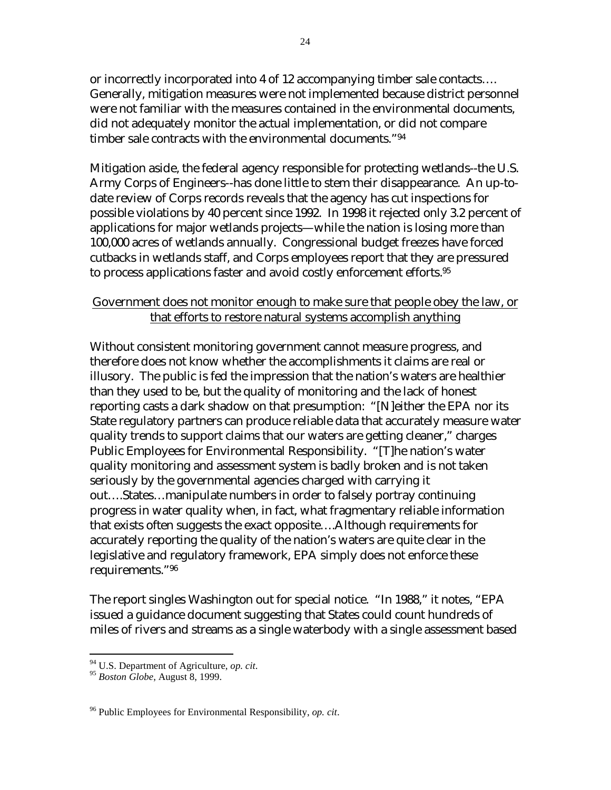or incorrectly incorporated into 4 of 12 accompanying timber sale contacts…. Generally, mitigation measures were not implemented because district personnel were not familiar with the measures contained in the environmental documents, did not adequately monitor the actual implementation, or did not compare timber sale contracts with the environmental documents.["94](#page-23-0)

Mitigation aside, the federal agency responsible for protecting wetlands--the U.S. Army Corps of Engineers--has done little to stem their disappearance. An up-todate review of Corps records reveals that the agency has cut inspections for possible violations by 40 percent since 1992. In 1998 it rejected only 3.2 percent of applications for major wetlands projects—while the nation is losing more than 100,000 acres of wetlands annually. Congressional budget freezes have forced cutbacks in wetlands staff, and Corps employees report that they are pressured to process applications faster and avoid costly enforcement efforts[.95](#page-23-1) 

#### Government does not monitor enough to make sure that people obey the law, or that efforts to restore natural systems accomplish anything

Without consistent monitoring government cannot measure progress, and therefore does not know whether the accomplishments it claims are real or illusory. The public is fed the impression that the nation's waters are healthier than they used to be, but the quality of monitoring and the lack of honest reporting casts a dark shadow on that presumption: "[N]either the EPA nor its State regulatory partners can produce reliable data that accurately measure water quality trends to support claims that our waters are getting cleaner," charges Public Employees for Environmental Responsibility. "[T]he nation's water quality monitoring and assessment system is badly broken and is not taken seriously by the governmental agencies charged with carrying it out….States…manipulate numbers in order to falsely portray continuing progress in water quality when, in fact, what fragmentary reliable information that exists often suggests the exact opposite….Although requirements for accurately reporting the quality of the nation's waters are quite clear in the legislative and regulatory framework, EPA simply does not enforce these requirements."[96](#page-23-2) 

The report singles Washington out for special notice. "In 1988," it notes, "EPA issued a guidance document suggesting that States could count hundreds of miles of rivers and streams as a single waterbody with a single assessment based

<span id="page-23-0"></span><sup>94</sup> U.S. Department of Agriculture, *op. cit*. 95 *Boston Globe*, August 8, 1999.

<span id="page-23-1"></span>

<span id="page-23-2"></span><sup>96</sup> Public Employees for Environmental Responsibility, *op. cit*.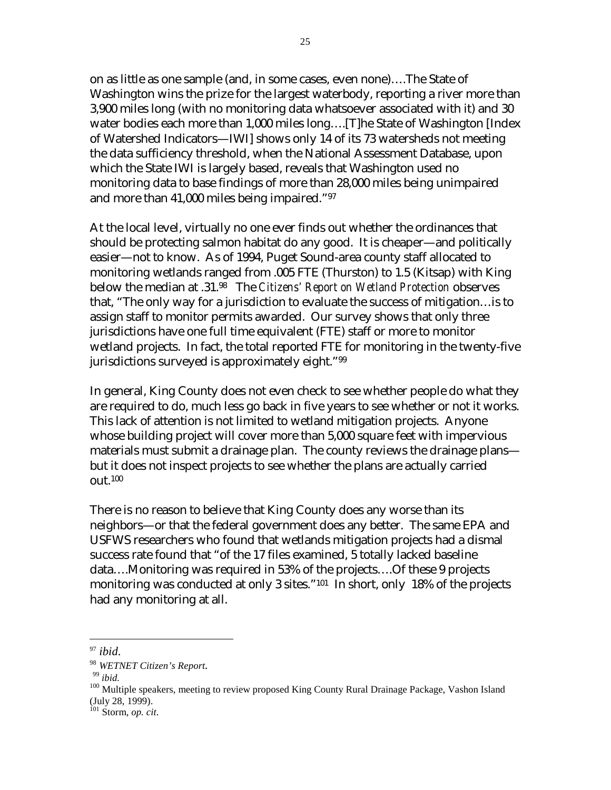on as little as one sample (and, in some cases, even none)….The State of Washington wins the prize for the largest waterbody, reporting a river more than 3,900 miles long (with no monitoring data whatsoever associated with it) and 30 water bodies each more than 1,000 miles long….[T]he State of Washington [Index of Watershed Indicators—IWI] shows only 14 of its 73 watersheds not meeting the data sufficiency threshold, when the National Assessment Database, upon which the State IWI is largely based, reveals that Washington used no monitoring data to base findings of more than 28,000 miles being unimpaired and more than 41,000 miles being impaired."[97](#page-24-0)

At the local level, virtually no one ever finds out whether the ordinances that should be protecting salmon habitat do any good. It is cheaper—and politically easier—not to know. As of 1994, Puget Sound-area county staff allocated to monitoring wetlands ranged from .005 FTE (Thurston) to 1.5 (Kitsap) with King below the median at .31[.98](#page-24-1) The *Citizens' Report on Wetland Protection* observes that, "The only way for a jurisdiction to evaluate the success of mitigation…is to assign staff to monitor permits awarded. Our survey shows that only three jurisdictions have one full time equivalent (FTE) staff or more to monitor wetland projects. In fact, the total reported FTE for monitoring in the twenty-five jurisdictions surveyed is approximately eight."<sup>99</sup>

In general, King County does not even check to see whether people do what they are required to do, much less go back in five years to see whether or not it works. This lack of attention is not limited to wetland mitigation projects. Anyone whose building project will cover more than 5,000 square feet with impervious materials must submit a drainage plan. The county reviews the drainage plans but it does not inspect projects to see whether the plans are actually carried out.[100](#page-24-3) 

There is no reason to believe that King County does any worse than its neighbors—or that the federal government does any better. The same EPA and USFWS researchers who found that wetlands mitigation projects had a dismal success rate found that "of the 17 files examined, 5 totally lacked baseline data….Monitoring was required in 53% of the projects….Of these 9 projects monitoring was conducted at only 3 sites."<sup>101</sup> In short, only 18% of the projects had any monitoring at all.

<span id="page-24-0"></span> $97$  *ibid.* 

<span id="page-24-1"></span>

<span id="page-24-4"></span><span id="page-24-3"></span><span id="page-24-2"></span>

<sup>&</sup>lt;sup>98</sup> *WETNET Citizen's Report*.<br><sup>99</sup> *ibid.* 100 *Multiple speakers, meeting to review proposed King County Rural Drainage Package, Vashon Island* (July 28, 1999).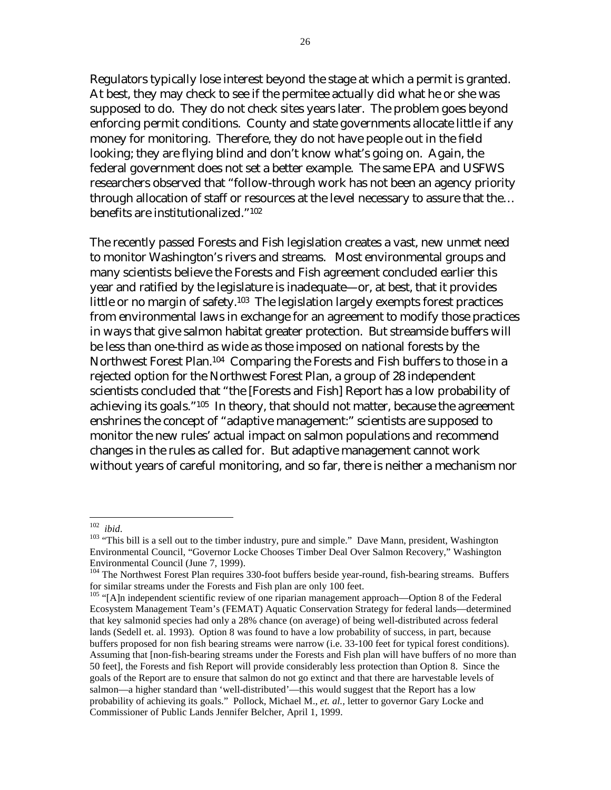Regulators typically lose interest beyond the stage at which a permit is granted. At best, they may check to see if the permitee actually did what he or she was supposed to do. They do not check sites years later. The problem goes beyond enforcing permit conditions. County and state governments allocate little if any money for monitoring. Therefore, they do not have people out in the field looking; they are flying blind and don't know what's going on. Again, the federal government does not set a better example. The same EPA and USFWS researchers observed that "follow-through work has not been an agency priority through allocation of staff or resources at the level necessary to assure that the… benefits are institutionalized."[102](#page-25-0)

The recently passed Forests and Fish legislation creates a vast, new unmet need to monitor Washington's rivers and streams. Most environmental groups and many scientists believe the Forests and Fish agreement concluded earlier this year and ratified by the legislature is inadequate—or, at best, that it provides little or no margin of safety.<sup>103</sup> The legislation largely exempts forest practices from environmental laws in exchange for an agreement to modify those practices in ways that give salmon habitat greater protection. But streamside buffers will be less than one-third as wide as those imposed on national forests by the Northwest Forest Plan.<sup>104</sup> Comparing the Forests and Fish buffers to those in a rejected option for the Northwest Forest Plan, a group of 28 independent scientists concluded that "the [Forests and Fish] Report has a low probability of achieving its goals."[105](#page-25-3) In theory, that should not matter, because the agreement enshrines the concept of "adaptive management:" scientists are supposed to monitor the new rules' actual impact on salmon populations and recommend changes in the rules as called for. But adaptive management cannot work without years of careful monitoring, and so far, there is neither a mechanism nor

<span id="page-25-0"></span> $102$  ibid.

<span id="page-25-1"></span><sup>&</sup>lt;sup>103</sup> "This bill is a sell out to the timber industry, pure and simple." Dave Mann, president, Washington Environmental Council, "Governor Locke Chooses Timber Deal Over Salmon Recovery," Washington Environmental Council (June 7, 1999).

<span id="page-25-2"></span><sup>&</sup>lt;sup>104</sup> The Northwest Forest Plan requires 330-foot buffers beside year-round, fish-bearing streams. Buffers for similar streams under the Forests and Fish plan are only 100 feet.

<span id="page-25-3"></span><sup>&</sup>lt;sup>105</sup> "[A]n independent scientific review of one riparian management approach—Option 8 of the Federal Ecosystem Management Team's (FEMAT) Aquatic Conservation Strategy for federal lands—determined that key salmonid species had only a 28% chance (on average) of being well-distributed across federal lands (Sedell et. al. 1993). Option 8 was found to have a low probability of success, in part, because buffers proposed for non fish bearing streams were narrow (i.e. 33-100 feet for typical forest conditions). Assuming that [non-fish-bearing streams under the Forests and Fish plan will have buffers of no more than 50 feet], the Forests and fish Report will provide considerably less protection than Option 8. Since the goals of the Report are to ensure that salmon do not go extinct and that there are harvestable levels of salmon—a higher standard than 'well-distributed'—this would suggest that the Report has a low probability of achieving its goals." Pollock, Michael M., *et. al.,* letter to governor Gary Locke and Commissioner of Public Lands Jennifer Belcher, April 1, 1999.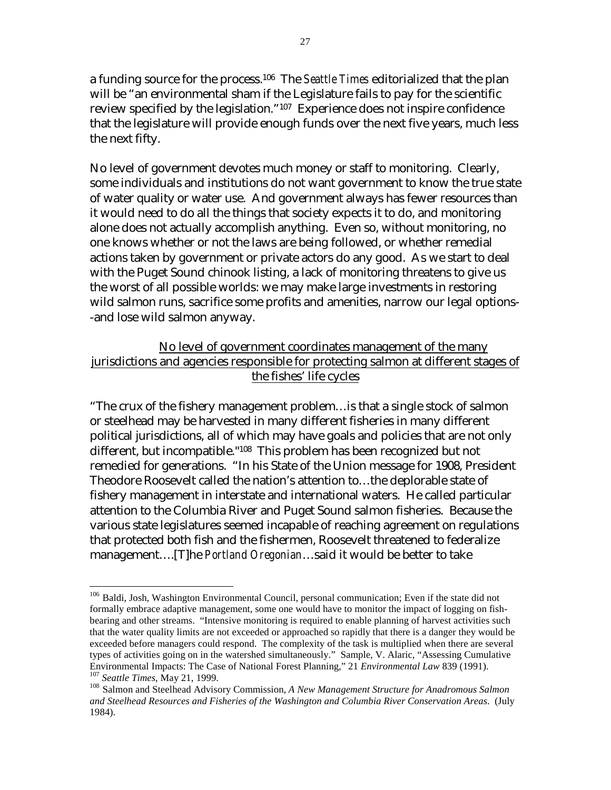a funding source for the process[.106](#page-26-0) The *Seattle Times* editorialized that the plan will be "an environmental sham if the Legislature fails to pay for the scientific review specified by the legislation."[107](#page-26-1) Experience does not inspire confidence that the legislature will provide enough funds over the next five years, much less the next fifty.

No level of government devotes much money or staff to monitoring. Clearly, some individuals and institutions do not want government to know the true state of water quality or water use. And government always has fewer resources than it would need to do all the things that society expects it to do, and monitoring alone does not actually accomplish anything. Even so, without monitoring, no one knows whether or not the laws are being followed, or whether remedial actions taken by government or private actors do any good. As we start to deal with the Puget Sound chinook listing, a lack of monitoring threatens to give us the worst of all possible worlds: we may make large investments in restoring wild salmon runs, sacrifice some profits and amenities, narrow our legal options- -and lose wild salmon anyway.

#### No level of government coordinates management of the many jurisdictions and agencies responsible for protecting salmon at different stages of the fishes' life cycles

"The crux of the fishery management problem…is that a single stock of salmon or steelhead may be harvested in many different fisheries in many different political jurisdictions, all of which may have goals and policies that are not only different, but incompatible."[108](#page-26-2) This problem has been recognized but not remedied for generations. "In his State of the Union message for 1908, President Theodore Roosevelt called the nation's attention to…the deplorable state of fishery management in interstate and international waters. He called particular attention to the Columbia River and Puget Sound salmon fisheries. Because the various state legislatures seemed incapable of reaching agreement on regulations that protected both fish and the fishermen, Roosevelt threatened to federalize management….[T]he *Portland Oregonian*…said it would be better to take

<span id="page-26-0"></span><sup>1</sup> <sup>106</sup> Baldi, Josh, Washington Environmental Council, personal communication; Even if the state did not formally embrace adaptive management, some one would have to monitor the impact of logging on fishbearing and other streams. "Intensive monitoring is required to enable planning of harvest activities such that the water quality limits are not exceeded or approached so rapidly that there is a danger they would be exceeded before managers could respond. The complexity of the task is multiplied when there are several types of activities going on in the watershed simultaneously." Sample, V. Alaric, "Assessing Cumulative Environmental Impacts: The Case of National Forest Planning," 21 *Environmental Law* 839 (1991).<br><sup>107</sup> Seattle Times, May 21, 1999.<br><sup>108</sup> Salmon and Steelhead Advisory Commission, A New Management Structure for Anadromous

<span id="page-26-2"></span><span id="page-26-1"></span>*and Steelhead Resources and Fisheries of the Washington and Columbia River Conservation Areas*. (July 1984).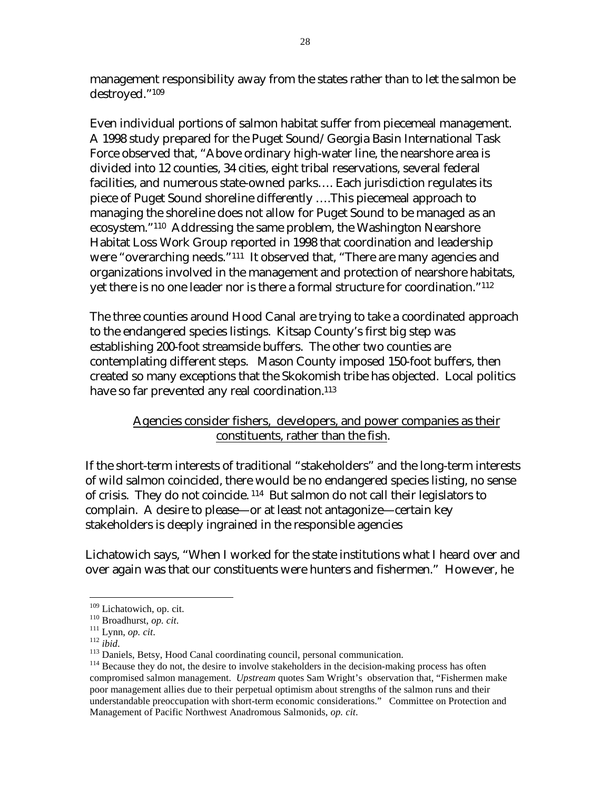management responsibility away from the states rather than to let the salmon be destroyed.["109](#page-27-0) 

Even individual portions of salmon habitat suffer from piecemeal management. A 1998 study prepared for the Puget Sound/Georgia Basin International Task Force observed that, "Above ordinary high-water line, the nearshore area is divided into 12 counties, 34 cities, eight tribal reservations, several federal facilities, and numerous state-owned parks…. Each jurisdiction regulates its piece of Puget Sound shoreline differently ….This piecemeal approach to managing the shoreline does not allow for Puget Sound to be managed as an ecosystem."[110](#page-27-1) Addressing the same problem, the Washington Nearshore Habitat Loss Work Group reported in 1998 that coordination and leadership were "overarching needs."[111](#page-27-2) It observed that, "There are many agencies and organizations involved in the management and protection of nearshore habitats, yet there is no one leader nor is there a formal structure for coordination.["112](#page-27-3) 

The three counties around Hood Canal are trying to take a coordinated approach to the endangered species listings. Kitsap County's first big step was establishing 200-foot streamside buffers. The other two counties are contemplating different steps. Mason County imposed 150-foot buffers, then created so many exceptions that the Skokomish tribe has objected. Local politics have so far prevented any real coordination.<sup>[113](#page-27-4)</sup>

#### Agencies consider fishers, developers, and power companies as their constituents, rather than the fish.

If the short-term interests of traditional "stakeholders" and the long-term interests of wild salmon coincided, there would be no endangered species listing, no sense of crisis. They do not coincide. [114](#page-27-5) But salmon do not call their legislators to complain. A desire to please—or at least not antagonize—certain key stakeholders is deeply ingrained in the responsible agencies

Lichatowich says, "When I worked for the state institutions what I heard over and over again was that our constituents were hunters and fishermen." However, he

<span id="page-27-0"></span>

<span id="page-27-1"></span>

<span id="page-27-2"></span>

<span id="page-27-3"></span>

<span id="page-27-5"></span><span id="page-27-4"></span>

<sup>&</sup>lt;sup>109</sup> Lichatowich, op. cit.<br>
<sup>110</sup> Broadhurst, *op. cit.*<br>
<sup>111</sup> Lynn, *op. cit.*<br>
<sup>112</sup> ibid.<br>
<sup>113</sup> Daniels, Betsy, Hood Canal coordinating council, personal communication.<br>
<sup>113</sup> Because they do not, the desire to invo compromised salmon management. *Upstream* quotes Sam Wright's observation that, "Fishermen make poor management allies due to their perpetual optimism about strengths of the salmon runs and their understandable preoccupation with short-term economic considerations." Committee on Protection and Management of Pacific Northwest Anadromous Salmonids, *op. cit*.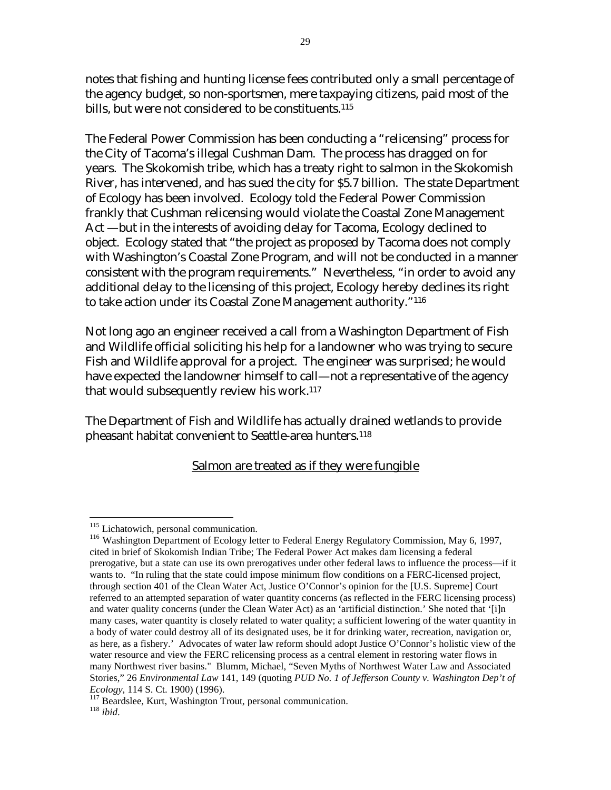notes that fishing and hunting license fees contributed only a small percentage of the agency budget, so non-sportsmen, mere taxpaying citizens, paid most of the bills, but were not considered to be constituents.<sup>[115](#page-28-0)</sup>

The Federal Power Commission has been conducting a "relicensing" process for the City of Tacoma's illegal Cushman Dam. The process has dragged on for years. The Skokomish tribe, which has a treaty right to salmon in the Skokomish River, has intervened, and has sued the city for \$5.7 billion. The state Department of Ecology has been involved. Ecology told the Federal Power Commission frankly that Cushman relicensing would violate the Coastal Zone Management Act —but in the interests of avoiding delay for Tacoma, Ecology declined to object. Ecology stated that "the project as proposed by Tacoma does not comply with Washington's Coastal Zone Program, and will not be conducted in a manner consistent with the program requirements." Nevertheless, "in order to avoid any additional delay to the licensing of this project, Ecology hereby declines its right to take action under its Coastal Zone Management authority."[116](#page-28-1)

Not long ago an engineer received a call from a Washington Department of Fish and Wildlife official soliciting his help for a landowner who was trying to secure Fish and Wildlife approval for a project. The engineer was surprised; he would have expected the landowner himself to call—not a representative of the agency that would subsequently review his work.[117](#page-28-2)

The Department of Fish and Wildlife has actually drained wetlands to provide pheasant habitat convenient to Seattle-area hunters.[118](#page-28-3)

#### Salmon are treated as if they were fungible

<span id="page-28-0"></span><sup>&</sup>lt;sup>115</sup> Lichatowich, personal communication.

<span id="page-28-1"></span><sup>&</sup>lt;sup>116</sup> Washington Department of Ecology letter to Federal Energy Regulatory Commission, May 6, 1997, cited in brief of Skokomish Indian Tribe; The Federal Power Act makes dam licensing a federal prerogative, but a state can use its own prerogatives under other federal laws to influence the process—if it wants to. "In ruling that the state could impose minimum flow conditions on a FERC-licensed project, through section 401 of the Clean Water Act, Justice O'Connor's opinion for the [U.S. Supreme] Court referred to an attempted separation of water quantity concerns (as reflected in the FERC licensing process) and water quality concerns (under the Clean Water Act) as an 'artificial distinction.' She noted that '[i]n many cases, water quantity is closely related to water quality; a sufficient lowering of the water quantity in a body of water could destroy all of its designated uses, be it for drinking water, recreation, navigation or, as here, as a fishery.' Advocates of water law reform should adopt Justice O'Connor's holistic view of the water resource and view the FERC relicensing process as a central element in restoring water flows in many Northwest river basins." Blumm, Michael, "Seven Myths of Northwest Water Law and Associated Stories," 26 *Environmental Law* 141, 149 (quoting *PUD No. 1 of Jefferson County v. Washington Dep't of* 

<span id="page-28-3"></span><span id="page-28-2"></span>*Ecology*, 114 S. Ct. 1900) (1996). 117 Beardslee, Kurt, Washington Trout, personal communication. 118 *ibid*.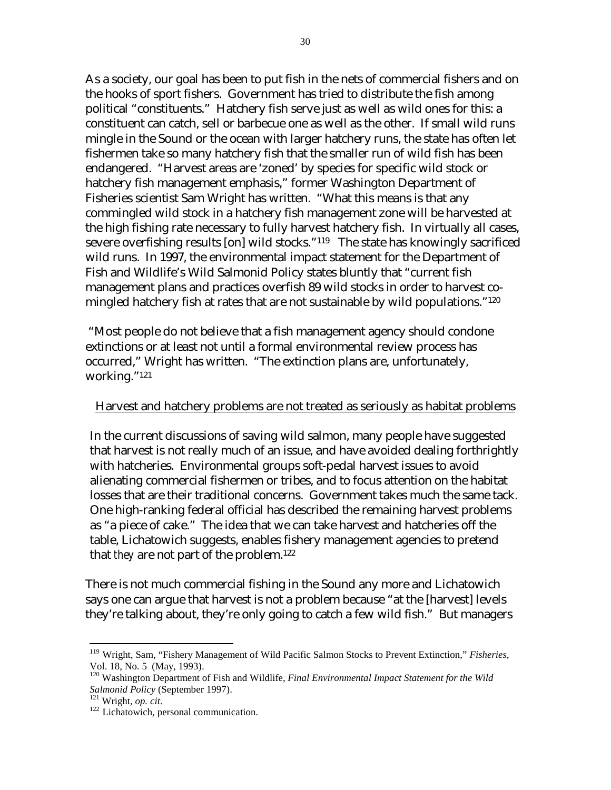As a society, our goal has been to put fish in the nets of commercial fishers and on the hooks of sport fishers. Government has tried to distribute the fish among political "constituents." Hatchery fish serve just as well as wild ones for this: a constituent can catch, sell or barbecue one as well as the other. If small wild runs mingle in the Sound or the ocean with larger hatchery runs, the state has often let fishermen take so many hatchery fish that the smaller run of wild fish has been endangered. "Harvest areas are 'zoned' by species for specific wild stock or hatchery fish management emphasis," former Washington Department of Fisheries scientist Sam Wright has written. "What this means is that any commingled wild stock in a hatchery fish management zone will be harvested at the high fishing rate necessary to fully harvest hatchery fish. In virtually all cases, severe overfishing results [on] wild stocks."[119](#page-29-0) The state has knowingly sacrificed wild runs. In 1997, the environmental impact statement for the Department of Fish and Wildlife's Wild Salmonid Policy states bluntly that "current fish management plans and practices overfish 89 wild stocks in order to harvest comingled hatchery fish at rates that are not sustainable by wild populations."<sup>120</sup>

 "Most people do not believe that a fish management agency should condone extinctions or at least not until a formal environmental review process has occurred," Wright has written. "The extinction plans are, unfortunately, working."[121](#page-29-2)

#### Harvest and hatchery problems are not treated as seriously as habitat problems

In the current discussions of saving wild salmon, many people have suggested that harvest is not really much of an issue, and have avoided dealing forthrightly with hatcheries. Environmental groups soft-pedal harvest issues to avoid alienating commercial fishermen or tribes, and to focus attention on the habitat losses that are their traditional concerns. Government takes much the same tack. One high-ranking federal official has described the remaining harvest problems as "a piece of cake." The idea that we can take harvest and hatcheries off the table, Lichatowich suggests, enables fishery management agencies to pretend that *they* are not part of the problem.<sup>122</sup>

There is not much commercial fishing in the Sound any more and Lichatowich says one can argue that harvest is not a problem because "at the [harvest] levels they're talking about, they're only going to catch a few wild fish." But managers

<span id="page-29-0"></span><sup>119</sup> Wright, Sam, "Fishery Management of Wild Pacific Salmon Stocks to Prevent Extinction," *Fisheries*, Vol. 18, No. 5 (May, 1993).

<span id="page-29-1"></span><sup>&</sup>lt;sup>120</sup> Washington Department of Fish and Wildlife, *Final Environmental Impact Statement for the Wild Salmonid Policy* (September 1997).

<span id="page-29-3"></span><span id="page-29-2"></span>

<sup>&</sup>lt;sup>121</sup> Wright, *op. cit*. <sup>122</sup> Lichatowich, personal communication.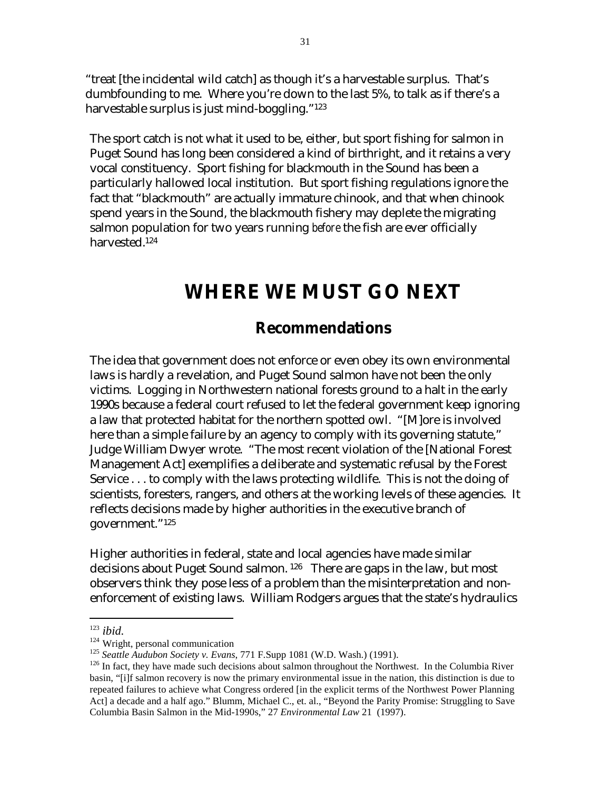"treat [the incidental wild catch] as though it's a harvestable surplus. That's dumbfounding to me. Where you're down to the last 5%, to talk as if there's a harvestable surplus is just mind-boggling."[123](#page-30-0)

The sport catch is not what it used to be, either, but sport fishing for salmon in Puget Sound has long been considered a kind of birthright, and it retains a very vocal constituency. Sport fishing for blackmouth in the Sound has been a particularly hallowed local institution. But sport fishing regulations ignore the fact that "blackmouth" are actually immature chinook, and that when chinook spend years in the Sound, the blackmouth fishery may deplete the migrating salmon population for two years running *before* the fish are ever officially harvested.[124](#page-30-1)

## **WHERE WE MUST GO NEXT**

### **Recommendations**

The idea that government does not enforce or even obey its own environmental laws is hardly a revelation, and Puget Sound salmon have not been the only victims. Logging in Northwestern national forests ground to a halt in the early 1990s because a federal court refused to let the federal government keep ignoring a law that protected habitat for the northern spotted owl. "[M]ore is involved here than a simple failure by an agency to comply with its governing statute," Judge William Dwyer wrote. "The most recent violation of the [National Forest Management Act] exemplifies a deliberate and systematic refusal by the Forest Service . . . to comply with the laws protecting wildlife. This is not the doing of scientists, foresters, rangers, and others at the working levels of these agencies. It reflects decisions made by higher authorities in the executive branch of government."[125](#page-30-2) 

Higher authorities in federal, state and local agencies have made similar decisions about Puget Sound salmon. [126](#page-30-3) There are gaps in the law, but most observers think they pose less of a problem than the misinterpretation and nonenforcement of existing laws. William Rodgers argues that the state's hydraulics

<span id="page-30-0"></span>

<span id="page-30-1"></span>

<span id="page-30-3"></span><span id="page-30-2"></span>

<sup>&</sup>lt;sup>123</sup> *ibid.*<br><sup>124</sup> Wright, personal communication<br><sup>125</sup> *Seattle Audubon Society v. Evans*, 771 F.Supp 1081 (W.D. Wash.) (1991).<br><sup>126</sup> In fact, they have made such decisions about salmon throughout the Northwest. In the basin, "[i]f salmon recovery is now the primary environmental issue in the nation, this distinction is due to repeated failures to achieve what Congress ordered [in the explicit terms of the Northwest Power Planning Act] a decade and a half ago." Blumm, Michael C., et. al., "Beyond the Parity Promise: Struggling to Save Columbia Basin Salmon in the Mid-1990s," 27 *Environmental Law* 21 (1997).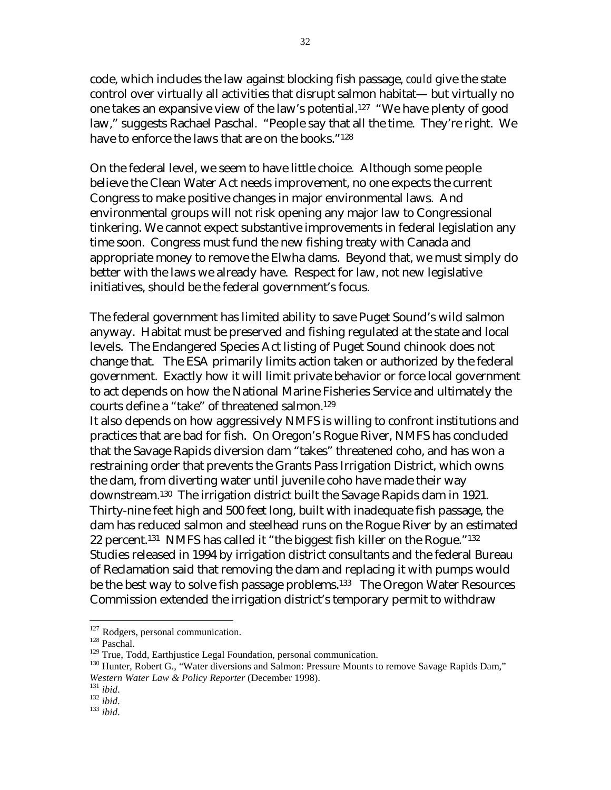code, which includes the law against blocking fish passage, *could* give the state control over virtually all activities that disrupt salmon habitat— but virtually no one takes an expansive view of the law's potential.[127](#page-31-0) "We have plenty of good law," suggests Rachael Paschal. "People say that all the time. They're right. We have to enforce the laws that are on the books."<sup>128</sup>

On the federal level, we seem to have little choice. Although some people believe the Clean Water Act needs improvement, no one expects the current Congress to make positive changes in major environmental laws. And environmental groups will not risk opening any major law to Congressional tinkering. We cannot expect substantive improvements in federal legislation any time soon. Congress must fund the new fishing treaty with Canada and appropriate money to remove the Elwha dams. Beyond that, we must simply do better with the laws we already have. Respect for law, not new legislative initiatives, should be the federal government's focus.

The federal government has limited ability to save Puget Sound's wild salmon anyway. Habitat must be preserved and fishing regulated at the state and local levels. The Endangered Species Act listing of Puget Sound chinook does not change that. The ESA primarily limits action taken or authorized by the federal government. Exactly how it will limit private behavior or force local government to act depends on how the National Marine Fisheries Service and ultimately the courts define a "take" of threatened salmon.[129](#page-31-2) 

It also depends on how aggressively NMFS is willing to confront institutions and practices that are bad for fish. On Oregon's Rogue River, NMFS has concluded that the Savage Rapids diversion dam "takes" threatened coho, and has won a restraining order that prevents the Grants Pass Irrigation District, which owns the dam, from diverting water until juvenile coho have made their way downstream.[130](#page-31-3) The irrigation district built the Savage Rapids dam in 1921. Thirty-nine feet high and 500 feet long, built with inadequate fish passage, the dam has reduced salmon and steelhead runs on the Rogue River by an estimated 22 percent.[131](#page-31-4) NMFS has called it "the biggest fish killer on the Rogue."[132](#page-31-5)  Studies released in 1994 by irrigation district consultants and the federal Bureau of Reclamation said that removing the dam and replacing it with pumps would be the best way to solve fish passage problems.<sup>133</sup> The Oregon Water Resources Commission extended the irrigation district's temporary permit to withdraw

1

<span id="page-31-0"></span>

<span id="page-31-2"></span><span id="page-31-1"></span>

<sup>&</sup>lt;sup>127</sup> Rodgers, personal communication.<br><sup>128</sup> Paschal.<br><sup>129</sup> True, Todd, Earthjustice Legal Foundation, personal communication.

<span id="page-31-3"></span><sup>&</sup>lt;sup>130</sup> Hunter, Robert G., "Water diversions and Salmon: Pressure Mounts to remove Savage Rapids Dam," *Western Water Law & Policy Reporter* (December 1998). 131 *ibid*. 132 *ibid*. 133 *ibid*.

<span id="page-31-4"></span>

<span id="page-31-5"></span>

<span id="page-31-6"></span>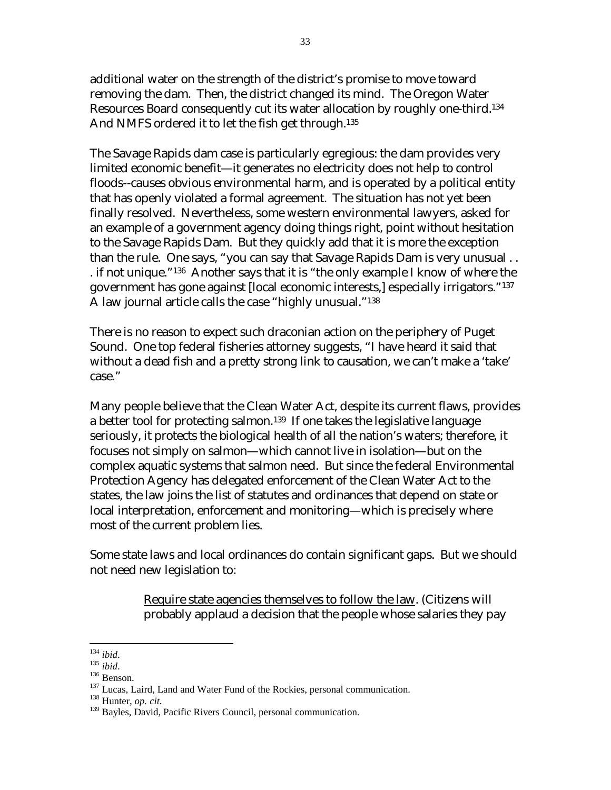additional water on the strength of the district's promise to move toward removing the dam. Then, the district changed its mind. The Oregon Water Resources Board consequently cut its water allocation by roughly one-third.[134](#page-32-0)  And NMFS ordered it to let the fish get through.<sup>135</sup>

The Savage Rapids dam case is particularly egregious: the dam provides very limited economic benefit—it generates no electricity does not help to control floods--causes obvious environmental harm, and is operated by a political entity that has openly violated a formal agreement. The situation has not yet been finally resolved. Nevertheless, some western environmental lawyers, asked for an example of a government agency doing things right, point without hesitation to the Savage Rapids Dam. But they quickly add that it is more the exception than the rule. One says, "you can say that Savage Rapids Dam is very unusual . . . if not unique.["136](#page-32-2) Another says that it is "the only example I know of where the government has gone against [local economic interests,] especially irrigators."[137](#page-32-3)  A law journal article calls the case "highly unusual."[138](#page-32-4)

There is no reason to expect such draconian action on the periphery of Puget Sound. One top federal fisheries attorney suggests, "I have heard it said that without a dead fish and a pretty strong link to causation, we can't make a 'take' case."

Many people believe that the Clean Water Act, despite its current flaws, provides a better tool for protecting salmon.<sup>139</sup> If one takes the legislative language seriously, it protects the biological health of all the nation's waters; therefore, it focuses not simply on salmon—which cannot live in isolation—but on the complex aquatic systems that salmon need. But since the federal Environmental Protection Agency has delegated enforcement of the Clean Water Act to the states, the law joins the list of statutes and ordinances that depend on state or local interpretation, enforcement and monitoring—which is precisely where most of the current problem lies.

Some state laws and local ordinances do contain significant gaps. But we should not need new legislation to:

> Require state agencies themselves to follow the law. (Citizens will probably applaud a decision that the people whose salaries they pay

<span id="page-32-0"></span> $^{134}$  ibid.

<span id="page-32-1"></span>

<span id="page-32-3"></span><span id="page-32-2"></span>

<sup>135</sup> *ibid.*<br><sup>136</sup> Benson.<br><sup>136</sup> Benson. Laird, Land and Water Fund of the Rockies, personal communication.<br><sup>138</sup> Hunter, *op. cit.* 

<span id="page-32-4"></span>

<span id="page-32-5"></span><sup>&</sup>lt;sup>139</sup> Bayles, David, Pacific Rivers Council, personal communication.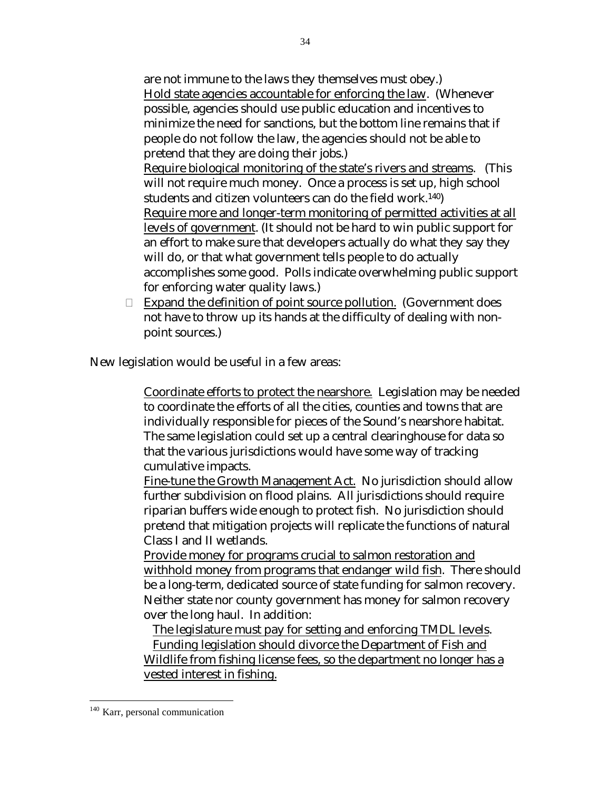are not immune to the laws they themselves must obey.) Hold state agencies accountable for enforcing the law. (Whenever possible, agencies should use public education and incentives to minimize the need for sanctions, but the bottom line remains that if people do not follow the law, the agencies should not be able to pretend that they are doing their jobs.) Require biological monitoring of the state's rivers and streams. (This will not require much money. Once a process is set up, high school students and citizen volunteers can do the field work.[140\)](#page-33-0)  Require more and longer-term monitoring of permitted activities at all levels of government. (It should not be hard to win public support for an effort to make sure that developers actually do what they say they will do, or that what government tells people to do actually accomplishes some good. Polls indicate overwhelming public support for enforcing water quality laws.)

Expand the definition of point source pollution. (Government does not have to throw up its hands at the difficulty of dealing with nonpoint sources.)

New legislation would be useful in a few areas:

 Coordinate efforts to protect the nearshore. Legislation may be needed to coordinate the efforts of all the cities, counties and towns that are individually responsible for pieces of the Sound's nearshore habitat. The same legislation could set up a central clearinghouse for data so that the various jurisdictions would have some way of tracking cumulative impacts.

 Fine-tune the Growth Management Act. No jurisdiction should allow further subdivision on flood plains. All jurisdictions should require riparian buffers wide enough to protect fish. No jurisdiction should pretend that mitigation projects will replicate the functions of natural Class I and II wetlands.

 Provide money for programs crucial to salmon restoration and withhold money from programs that endanger wild fish. There should be a long-term, dedicated source of state funding for salmon recovery. Neither state nor county government has money for salmon recovery over the long haul. In addition:

The legislature must pay for setting and enforcing TMDL levels.

 Funding legislation should divorce the Department of Fish and Wildlife from fishing license fees, so the department no longer has a vested interest in fishing.

<span id="page-33-0"></span><sup>&</sup>lt;sup>140</sup> Karr, personal communication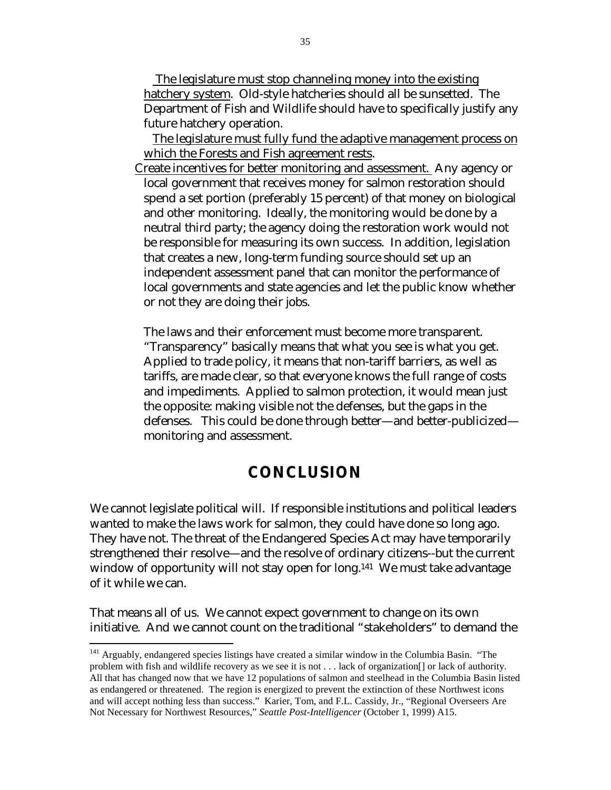The legislature must stop channeling money into the existing hatchery system. Old-style hatcheries should all be sunsetted. The Department of Fish and Wildlife should have to specifically justify any future hatchery operation.

 The legislature must fully fund the adaptive management process on which the Forests and Fish agreement rests.

Create incentives for better monitoring and assessment. Any agency or local government that receives money for salmon restoration should spend a set portion (preferably 15 percent) of that money on biological and other monitoring. Ideally, the monitoring would be done by a neutral third party; the agency doing the restoration work would not be responsible for measuring its own success. In addition, legislation that creates a new, long-term funding source should set up an independent assessment panel that can monitor the performance of local governments and state agencies and let the public know whether or not they are doing their jobs.

 The laws and their enforcement must become more transparent. "Transparency" basically means that what you see is what you get. Applied to trade policy, it means that non-tariff barriers, as well as tariffs, are made clear, so that everyone knows the full range of costs and impediments. Applied to salmon protection, it would mean just the opposite: making visible not the defenses, but the gaps in the defenses. This could be done through better—and better-publicized monitoring and assessment.

## **CONCLUSION**

We cannot legislate political will. If responsible institutions and political leaders wanted to make the laws work for salmon, they could have done so long ago. They have not. The threat of the Endangered Species Act may have temporarily strengthened their resolve—and the resolve of ordinary citizens--but the current window of opportunity will not stay open for long.<sup>141</sup> We must take advantage of it while we can.

That means all of us. We cannot expect government to change on its own initiative. And we cannot count on the traditional "stakeholders" to demand the

<span id="page-34-0"></span><sup>&</sup>lt;sup>141</sup> Arguably, endangered species listings have created a similar window in the Columbia Basin. "The problem with fish and wildlife recovery as we see it is not . . . lack of organization[] or lack of authority. All that has changed now that we have 12 populations of salmon and steelhead in the Columbia Basin listed as endangered or threatened. The region is energized to prevent the extinction of these Northwest icons and will accept nothing less than success." Karier, Tom, and F.L. Cassidy, Jr., "Regional Overseers Are Not Necessary for Northwest Resources," *Seattle Post-Intelligencer* (October 1, 1999) A15.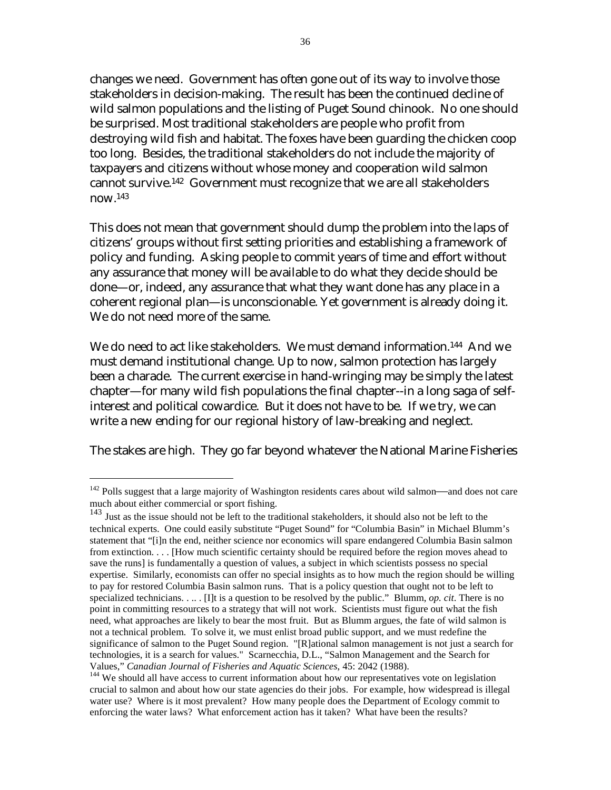changes we need. Government has often gone out of its way to involve those stakeholders in decision-making. The result has been the continued decline of wild salmon populations and the listing of Puget Sound chinook. No one should be surprised. Most traditional stakeholders are people who profit from destroying wild fish and habitat. The foxes have been guarding the chicken coop too long. Besides, the traditional stakeholders do not include the majority of taxpayers and citizens without whose money and cooperation wild salmon cannot survive.[142](#page-35-0) Government must recognize that we are all stakeholders now[.143](#page-35-1) 

This does not mean that government should dump the problem into the laps of citizens' groups without first setting priorities and establishing a framework of policy and funding. Asking people to commit years of time and effort without any assurance that money will be available to do what they decide should be done—or, indeed, any assurance that what they want done has any place in a coherent regional plan—is unconscionable. Yet government is already doing it. We do not need more of the same.

We do need to act like stakeholders. We must demand information.<sup>144</sup> And we must demand institutional change. Up to now, salmon protection has largely been a charade. The current exercise in hand-wringing may be simply the latest chapter—for many wild fish populations the final chapter--in a long saga of selfinterest and political cowardice. But it does not have to be. If we try, we can write a new ending for our regional history of law-breaking and neglect.

The stakes are high. They go far beyond whatever the National Marine Fisheries

<span id="page-35-0"></span> $142$  Polls suggest that a large majority of Washington residents cares about wild salmon—and does not care much about either commercial or sport fishing.

<span id="page-35-1"></span><sup>&</sup>lt;sup>143</sup> Just as the issue should not be left to the traditional stakeholders, it should also not be left to the technical experts. One could easily substitute "Puget Sound" for "Columbia Basin" in Michael Blumm's statement that "[i]n the end, neither science nor economics will spare endangered Columbia Basin salmon from extinction. . . . [How much scientific certainty should be required before the region moves ahead to save the runs] is fundamentally a question of values, a subject in which scientists possess no special expertise. Similarly, economists can offer no special insights as to how much the region should be willing to pay for restored Columbia Basin salmon runs. That is a policy question that ought not to be left to specialized technicians. . . . . [I]t is a question to be resolved by the public." Blumm, *op. cit*. There is no point in committing resources to a strategy that will not work. Scientists must figure out what the fish need, what approaches are likely to bear the most fruit. But as Blumm argues, the fate of wild salmon is not a technical problem. To solve it, we must enlist broad public support, and we must redefine the significance of salmon to the Puget Sound region. "[R]ational salmon management is not just a search for technologies, it is a search for values." Scarnecchia, D.L., "Salmon Management and the Search for

<span id="page-35-2"></span>Values," *Canadian Journal of Fisheries and Aquatic Sciences*, 45: 2042 (1988).<br><sup>144</sup> We should all have access to current information about how our representatives vote on legislation crucial to salmon and about how our state agencies do their jobs. For example, how widespread is illegal water use? Where is it most prevalent? How many people does the Department of Ecology commit to enforcing the water laws? What enforcement action has it taken? What have been the results?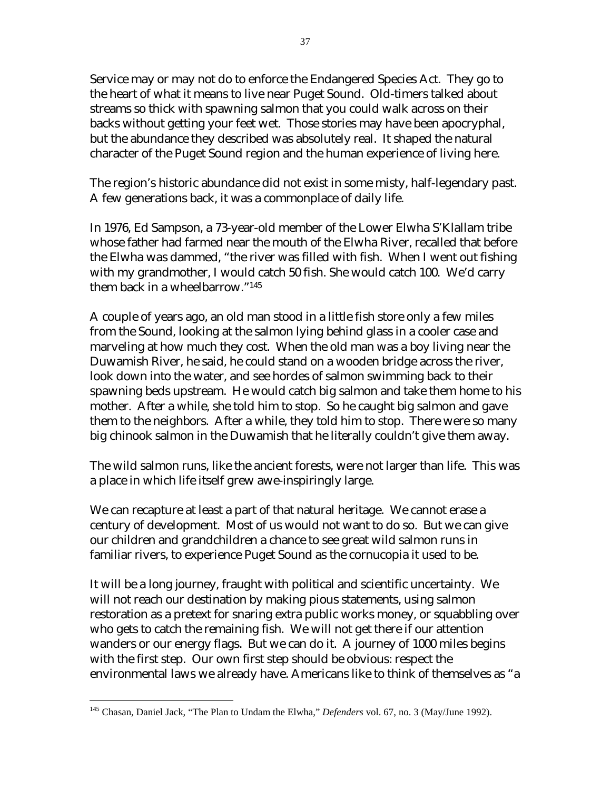Service may or may not do to enforce the Endangered Species Act. They go to the heart of what it means to live near Puget Sound. Old-timers talked about streams so thick with spawning salmon that you could walk across on their backs without getting your feet wet. Those stories may have been apocryphal, but the abundance they described was absolutely real. It shaped the natural character of the Puget Sound region and the human experience of living here.

The region's historic abundance did not exist in some misty, half-legendary past. A few generations back, it was a commonplace of daily life.

In 1976, Ed Sampson, a 73-year-old member of the Lower Elwha S'Klallam tribe whose father had farmed near the mouth of the Elwha River, recalled that before the Elwha was dammed, "the river was filled with fish. When I went out fishing with my grandmother, I would catch 50 fish. She would catch 100. We'd carry them back in a wheelbarrow.["145](#page-36-0) 

A couple of years ago, an old man stood in a little fish store only a few miles from the Sound, looking at the salmon lying behind glass in a cooler case and marveling at how much they cost. When the old man was a boy living near the Duwamish River, he said, he could stand on a wooden bridge across the river, look down into the water, and see hordes of salmon swimming back to their spawning beds upstream. He would catch big salmon and take them home to his mother. After a while, she told him to stop. So he caught big salmon and gave them to the neighbors. After a while, they told him to stop. There were so many big chinook salmon in the Duwamish that he literally couldn't give them away.

The wild salmon runs, like the ancient forests, were not larger than life. This was a place in which life itself grew awe-inspiringly large.

We can recapture at least a part of that natural heritage. We cannot erase a century of development. Most of us would not want to do so. But we can give our children and grandchildren a chance to see great wild salmon runs in familiar rivers, to experience Puget Sound as the cornucopia it used to be.

It will be a long journey, fraught with political and scientific uncertainty. We will not reach our destination by making pious statements, using salmon restoration as a pretext for snaring extra public works money, or squabbling over who gets to catch the remaining fish. We will not get there if our attention wanders or our energy flags. But we can do it. A journey of 1000 miles begins with the first step. Our own first step should be obvious: respect the environmental laws we already have. Americans like to think of themselves as "a

1

<span id="page-36-0"></span><sup>&</sup>lt;sup>145</sup> Chasan, Daniel Jack, "The Plan to Undam the Elwha," *Defenders* vol. 67, no. 3 (May/June 1992).